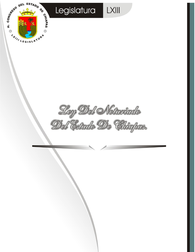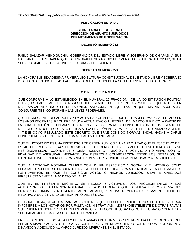*TEXTO ORIGINAL Ley publicada en el Periódico Oficial el 05 de Noviembre de 2004.*

#### **PUBLICACION ESTATAL**

#### **SECRETARIA DE GOBIERNO DIRECCION DE ASUNTOS JURIDICOS DEPARTAMENTO DE GOBERNACION**

#### **DECRETO NUMERO 253**

PABLO SALAZAR MENDIGUCHIA, GOBERNADOR DEL ESTADO LIBRE Y SOBERANO DE CHIAPAS, A SUS HABITANTES HACE SABER: QUE LA HONORABLE SEXAGÉSIMA PRIMERA LEGISLATURA DEL MISMO, SE HA SERVIDO DIRIGIR AL EJECUTIVO DE SU CARGO EL SIGUIENTE

#### **DECRETO NUMERO 253**

LA HONORABLE SEXAGÉSIMA PRIMERA LEGISLATURA CONSTITUCIONAL DEL ESTADO LIBRE Y SOBERANO DE CHIAPAS, EN USO DE LAS FACULTADES QUE LE CONCEDE LA CONSTITUCION POLITICA LOCAL, Y

#### **C O N S I D E R A N D O .**

QUE CONFORME A LO ESTABLECIDO EN EL NUMERAL 29 FRACCION I DE LA CONSTITUCIÓN POLÍTICA LOCAL, ES FACULTAD DEL CONGRESO DEL ESTADO LEGISLAR EN LAS MATERIAS QUE NO ESTEN RESERVADAS AL CONGRESO DE LA UNION, ASI COMO EN AQUELLAS EN QUE EXISTAN FACULTADES CONCURRENTES, CONFORME A LAS LEYES FEDERALES.

QUE EL CRECIENTE DESARROLLO Y LA ACTIVIDAD COMERCIAL QUE HA TRANSFORMADO AL ESTADO EN LOS AÑOS RECIENTES, REQUIERE DE UNA ACTUALIZACION INTEGRAL DEL MARCO JURÍDICO, A PARTIR DE LA CONSTRUCCIÓN DE UN AMPLIO CONSENSO SOCIAL PARA LA CONSOLIDACIÓN DE UN ESTADO DE DERECHO DEMOCRATICO. ESTO OBLIGA A UNA REVISIÓN INTEGRAL DE LA LEY DEL NOTARIADO VIGENTE Y TIENE COMO RESULTADO ESTE DECRETO QUE TRAE CONSIGO NORMAS ENCAMINADAS A DARLE CONGRUENCIA Y CERTEZA JURÍDICA A LA ACTIVIDAD NOTARIAL.

QUE EL NOTOTARIO ES UNA INSTITUCIÓN DE ORDEN PUBLICO Y UNA FACULTAD QUE EL EJECUTIVO DEL ESTADO EJERCE Y DELEGA S PROFESIONALES DEL DERECHO. EN EL AMBITO DE ESE EJERCICIO, ES SU RESPONSABILIDAD, COORDINAR Y DESARROLLAR LA FUNCION Y ACTIVIDAD NOTARIAL, CON LA FINALIDAD DE ASEGURAR, MEDIANTE UNA ESTRECHA COLABORACIÓN ENTRE LOS NOTARIOS, SU DIGNIDAD E INDEPENDENCIA PARA BRINDAR UN MEJOR SERVICIO A LAS PERSONAS Y A LA SOCIEDAD.

QUE LA ACTIVIDAD NOTARIAL CUMPLE CON UN FIN ESPECIFICO Y SOCIAL Y EL NOTARIO, COMO FEDATARIO PUBLICO, SE ENCUENTRA INVESTIDO DE FE PUBLICA PARA AUTENTICAR Y DAR FORMA A LOS INSTRUMENTOS EN QUE SE CONSIGNE ACTOS O HECHOS JURÍDICOS, SIEMPRE APEGADOS IRRESTRICTAMENTE AL MANDATO DE LA LEY.

QUE EN EL PRESENTE DECRETO, SE REGULA Y ACTUALIZA LOS PROCEDIMIENTOS Y LAS ACTUACIONESDE LA FUNCION NOTARIAL, EN LA INTELIGENCIA QUE LA NUEVA LEY CONSERVA SUS PRINCIPIOS FORMALES INHERENTES AL NOTARIADO, PERO INSTRUMENTA EXPRESAMENTE TODO LO RELATIVO A SU ACTIVIDAD DE FEDATARIO DEL ESTADO.

DE IGUAL FORMA, SE ACTUALIZAN LAS SANCIONES QUE, POR EL EJERCICIO DE SUS FUNCIONES, DEBAN IMPONERSE A LOS NOTARIOS POR FALTA ADMINISTRATIVAS, INDEPENDIENTEMENTE DE OTRAS FALTAS QUE PUDIERAN INCURRIR EN EL CUMPLIMEINTO DE SU COMETIDO, DANDO CON ELLO MAYOR CERTEZA Y SEGURIDAD JURÍDICA A LA SOCIEDAD CHIAPANECA.

EN ESE SENTIDO, SE DOTA LA LEY DEL NOTARIADO DE UNA MEJOR ESTRUCTURA METODOLOGICA, QUE PERMITA MAYOR ACCESIBILIDAD A SU CONTENIDO, Y AL MISMO TIEMPO CONTAR CON INSTRUMENTO DINAMICO Y ADECUADO AL MARCO JURÍDICO IMPERANTE EN EL ESTADO.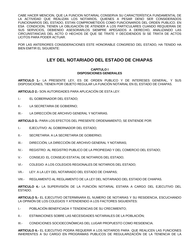CABE HACER MENCION, QUE LA FUNCION NOTARIAL CONSERVA SU CARACTERÍSTICA FUNDAMENTAL DE LA ACTIVIDAD QUE REALIZAN LOS NOTARIOS, QUIENES A PESAR DENO SER CONSIDERADOS FUNCIONARIOS DEL ESTADO, ESTAN COMPROMETIDOS COMO FUNCIONARIOS DEL ORDEN PUBLICO. EN ESA CONDICION, TIENEN LA OBLIGACIÓN DE ATENDER A LOS PARTICULARES CUANDO REQUIERAN DE SUS SERVICIOS, DEBIENDO ASESORARLOS SIEMPRE APEGADOS A DERECHO, ANALIZANDO LAS CIRCUNSTANCIAS DEL ACTO O HECHOS DE QUE SE TRATE Y DECIDIENDOS SI SE TRATA DE ACTOS LICITOS PARA PODER ACTUAR.

POR LAS ANTERIORES CONSIDERACIONES ESTE HONORABLE CONGRESO DEL ESTADO, HA TENIDO HA BIEN EMITIR EL SIGUIENTE:

# **LEY DEL NOTARIADO DEL ESTADO DE CHIAPAS**

#### **CAPITULO I DISPOSICIONES GENERALES**

**ARTICULO 1.-** LA PRESENTE LEY, ES DE ORDEN PUBLICO Y DE INTERESES GENERAL, Y SUS DISPOSICIONES, TIENEN POR OBJETO REGULAR LA FUNCIÓN NOTARIAL EN EL ESTADO DE CHIAPAS.

**ARTICULO 2.-** SON AUTORIDADES PARA APLICACIÓN DE ESTA LEY:

- I.- EL GOBERNADOR DEL ESTADO;
- II.- LA SECRETARIA DE GOBIERNO;
- III.- LA DIRECCIÓN DE ARCHIVO GENERAL Y NOTARIAS.

**ARTICULO 3.-** PARA LOS EFECTOS DEL PRESENTE ORDENAMIENTO, SE ENTIENDE POR:

- I.- EJECUTIVO: AL GOBERNADOR DEL ESTADO;
- II.- SECRETARIA: A LA SECRETARIA DE GOBIERNO;
- III.- DIRECCIÓN; LA DIRECCIÓN DE ARCHIVO GENERAL Y NOTARIAS;
- IV.- REGISTRO: AL REGISTRO PUBLICO DE LA PROPIEDAD Y DEL COMERCIO DEL ESTADO;
- V.- CONSEJO: EL CONSEJO ESTATAL DE NOTARIOS DEL ESTADO;
- VI.- COLEGIO: A LOS COLEGIOS REGIONALES DE NOTARIOS DEL ESTADO;
- VII.- LEY: A LA LEY DEL NOTARIADO DEL ESTADO DE CHIAPAS;

VIII.- REGLAMENTO AL REGLAMENTO DE LA LEY DEL NOTARIADO DEL ESTADO DE CHIAPAS.

**ARTICULO 4.-** LA SUPERVISIÓN DE LA FUNCIÓN NOTARIAL ESTARA A CARGO DEL EJECUTIVO DEL ESTADO.

**ARTICULO 5.-** EL EJECUTIVO DETERMINARA EL NUMERO DE NOTARIAS Y SU RESIDENCIA, ESCUCHANDO LA OPINIÓN DE LOS COLEGIOS Y ATENDIENDO A LOS FACTORES SIGUIENTES:

- I.- POBLACIÓN BENEFICIADA Y TENDENCIAS DE SU CRECIMIENTO;
- II.- ESTIMACIONES SOBRE LAS NECESIDADES NOTARIALES DE LA POBLACIÓN;
- III.- CONDICIONES SOCIOECONÓMICAS DEL LUGAR PROPUESTO COMO RESIDENCIA.

**ARTICULO 6.-** EL EJECUTIVO PODRA REQUERIR A LOS NOTARIOS PARA QUE REALICEN LAS FUNCIONES INHERENTES A SU CARGO EN PROGRAMAS PUBLICOS DE REGULARIZACIÓN DE LA TENENCIA DE LA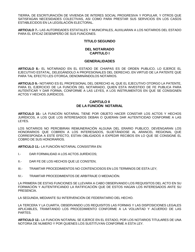TIERRA, DE ESCRITURACIÓN DE VIVIENDA DE INTERES SOCIAL PROGRESIVA Y POPULAR, Y OTROS QUE SATISFAGAN NECESIDADES COLECTIVAS, ASI COMO PARA PRESTAR SUS SERVICIOS EN LOS CASOS ESTABLECIDOS EN LA LEGISLACIÓN ELECTORAL.

**ARTICULO 7.-** LAS AUTORIDADES ESTATALES Y MUNICIPALES, AUXILIARAN A LOS NOTARIOS DEL ESTADO PARA EL EFICAZ DESEMPEÑO DE SUS FUNCIONES.

#### **TITULO SEGUNDO**

#### **DEL NOTARIADO CAPITULO I**

#### **GENERALIDADES**

**ARTICULO 8.-** EL NOTARIADO EN EL ESTADO DE CHIAPAS ES DE ORDEN PUBLICO, LO EJERCE EL EJECUTIVO ESTATAL, DELEGÁNDOLO A PROFESIONALES DEL DERECHO, EN VIRTUD DE LA PATENTE QUE PARA TAL EFECTO LES OTORGA, DENOMINÁNDOLOS NOTARIOS.

**ARTICULO 9.-** NOTARIO ES EL PROFESIONAL DEL DERECHO AL QUE EL EJECUTIVO OTORGO LA PATENTE, PARA EL EJERCICIO DE LA FUNCIÓN DEL NOTARIADO, QUIEN ESTA INVESTIDO DE FE PUBLICA PARA AUTENTICAR Y DAR FORMA, CONFORME A LAS LEYES, A LOS INSTRUMENTOS EN QUE SE CONSIGNEN ACTOS Y HECHOS JURÍDICOS.

#### **CAPITULO II DE LA FUNCIÓN NOTARIAL**

**ARTICULO 10.-** LA FUNCIÓN NOTARIAL TIENE POR OBJETO HACER CONSTAR LOS ACTOS Y HECHOS JURÍDICOS, A LOS QUE LOS INTERESADOS DEBAN O QUIERAN DAR AUTENTICIDAD CONFORME A LAS LEYES.

LOS NOTARIOS NO PERCIBIRAN REMUNERACIÓN ALGUNA DEL ERARIO PUBLICO. DEVENGARAN LOS HONORARIOS QUE COBREN A LOS INTERESADOS, SUJETÁNDOSE AL ARANCEL REGIONAL QUE CORRESPONDA A ESTE EFECTO, ESTAN OBLIGADOS A EXPEDIR RECIBOS EN LO QUE SE CONSIGNE EL COBRO DE SUS HONORARIOS.

**ARTICULO 11.-** LA FUNCIÓN NOTARIAL CONSISTIRA EN:

- I.- DAR FORMALIDAD A LOS ACTOS JURÍDICOS;
- II.- DAR FE DE LOS HECHOS QUE LE CONSTEN;
- III.- TRAMITAR PROCEDIMIENTOS NO CONTENCIOSOS EN LOS TERMINOS DE ESTA LEY;
- IV.- TRAMITAR PROCEDIMIENTOS DE ARBITRAJE O MEDIACIÓN.

LA PRIMERA DE ESTAS FUNCIONES SE LLEVARA A CABO OBSERVANDO LOS REQUISITOS DEL ACTO EN SU FORMACIÓN Y AUTENTIFICANDO LA RATIFICACIÓN QUE DE ESTOS HAGAN LOS INTERESADOS ANTE SU PRESENCIA.

LA SEGUNDA, MEDIANTE SU INTERVENCIÓN DE FEDERATARIO DEL HECHO.

LA TERCERA Y LA CUARTA, OBSERVANDO LOS REQUISITOS LAS FORMAS Y LAS DISPOSICIONES LEGALES APLICABLES, TRAMITANDO LOS PROCEDIMIENTO CONFORME A LA VOLUNTAD Y ACUERDO DE LAS PARTES.

**ARTICULO 12.-** LA FUNCION NOTARIAL SE EJERCE EN EL ESTADO, POR LOS NOTARIOS TITULARES DE UNA NOTORIA DE NUMERO Y POR QUIENES LOS SUSTITUYAN CONFORME A ESTA LEY.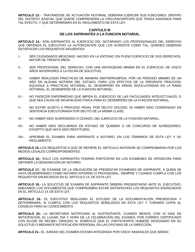**ARTICULO 13.-** TRATÁNDOSE DE ACTUACIÓN NOTARIAL DEBERAN EJERCER SUS FUNCIONES, DENTRO DEL DISTRITO JUDICIAL QUE QUEDE COMPRENDIDA LA CIRCUNSCRIPCIÓN QUE TENGA ASIGNADA PARA TAL EFECTO, Y QUE DETERMINARA EN EL REGLAMENTO DE ESTA LEY.

#### **CAPITULO III DE LOS ASPIRANTES A LA FUNCION NOTARIAL**

**ARTICULO 14.-** SON ASPIRANTES AL EJERCICIO DEL NOTARIADO LOS PROFESIONALES DEL DERECHO QUE OBTENGA EL EJECUTIVO LA AUTORIZACIÓN QUE LOS ACREDITE COMO TAL, QUIENES DEBERAN SATISFACER LOS REQUISITOS SIGUIENTES:

- I.- SER CIUDADANOS MEXICANO, NACIDO EN LA ENTIDAD, EN PLENO EJERCICIO DE SUS DERECHOS, MAYOR DE TREINTA AÑOS;
- II.- SER PROFESIONAL DEL DERECHO, CON UNA ANTIGÜEDAD MINIMA EN EL EJERCICIO, DE CINCO AÑOS ANTERIORES A LA FECHA DE SOLICITUD;
- III.- HABER REALIZADO PRACTICAS DE MANERA ININTERRUMPIDA, POR UN PERIODO MINIMO DE UN AÑO EN ALGUNA NOTARIA DEL ESTADO. PARA LOS EFECTOS DE LA PRESENTE FRACCION, EQUIVALE A PRACTICAS NOTARIAL, EL DESEMPEÑO EN AREAS INVOLUCRADAS EN LA RAMA NOTARIAL, EL DESEMPEÑO DE LA FUNCION NOTARIAL;
- IV.- NO PADECER ENFERMEDAD QUE IMPIDA EL EJERCICIO DE LAS FACULDADES INTELECTUALES, O QUE SEA CAUSA DE INCAPACIDAD FÍSICA PARA EL DESEMPEÑO DE LA FUNCIÓN NOTARIAL;
- V.- NO ESTAR SUJETO A PROCESO PENAL POR DELITO DOLOSO, NI HABER SIDO CONDENADO EN SENTENCIA EJECUTORIADA POR DELITO DE LA MISMA CLASE;
- VI.- NO HABER SIDO SUSPENDIDO O CESADO, DEL EJERCICIO DE LA FUNCIÓN NATARIAL;
- VII.- NO HABER SIDO DECLARADO EN ESTADO DE QUIEBRA O DE CONCURSO DE ACREEDORES, EXCEPTO QUE HAYA SIDO RESTITUIDO;
- VIII.- APROBAR EL EXAMEN PARA ASPIRANTE A NOTARIO, EN LOS TERMINOS DE ESTA LEY Y SU REGLAMENTO.

**ARTICULO 15.-**LOS REQUISITOS A QUE SE REFIERE EL ARTICULO ANTERIOR SE COMPROBARAN POR LOS MEDIOS LEGALES CORRESPONDIENTES.

**ARTICULO 16.-** SOLO LOS ASPIRANTES PODRAN PARTICIPAR EN LOS EXAMENES DE OPOSICIÓN PARA OBTENER LA DESIGNACIÓN DE NOTARIO.

**ARTICULO 17.-** SE EXAMINE DE LA OBLIGACIÓN DE PRESENTAR EXAMENES DE ASPIRANTE, A QUIEN SE HAYA DESEMPEÑADO COMO NOTARIO INTERINO O PROVISIONAL, SIEMPRE Y CUANDO CUMPLA CON LOS REQUISITOS ENUNCIADOS EN EL ARTICULO 14, DE ESTA LEY.

**ARTICULO 18.-** LA SOLICITUD DE EXAMEN DE ASPIRANTE DEBERÁ PRESENTARSE ANTE EL EJECUTIVO, ANEXANDO LOS DOCUMENTOS QUE COMPRUEBEN ESTAR SATISFECHOS LOS REQUISITOS ENUNCIADOS EN EL ARTICULO 14, DE ESTA LEY.

**ARTICULO 19.-** EL EJECUTIVO REALIZARA EL ESTUDIO DE LA DOCUMENTACIÓN PRESENTADA Y DETERMINARA, SI CUMPLE CON LOS REQUISITOS SEÑALADOS EN ESTA LEY Y TURNARA COPIA AL CONSEJO PARA SU CONOCIMIENTO.

**ARTICULO 20.-** LA SECRETARIA NOTIFICARA AL SUSTENTANTE, CUANDO MENOS, CON 15 DIAS DE ANTICIPACIÓN, EL LUGAR, DIA Y HORA DE LA CELEBRACIÓN DEL EXAMEN, POR CORREO CERTIFICADO CON ACUSE DE RECIBO, DIRIGIDO AL DOMICILIO QUE EL PARTICIPANTE HUBIERE DESIGNADO EN SU SOLICITUD O MEDIANTE NOTIFICACIÓN PERSONAL EN LAS OFICINAS DE LA DIRECCIÓN.

**ARTICULO 21.-** EL JURADO DEL EXAMEN ESTARA INTEGRADO POR CINCO SINODALES QUE SERAN: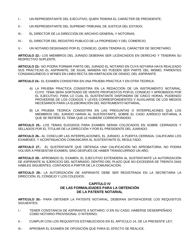- I.- UN REPRESENTANTE DEL EJECUTIVO, QUIEN TENDRA EL CARÁCTER DE PRESIDENTE;
- II.- UN REPRESENTANTE DEL SUPREMO TRIBUNAL DE JUSTICIA DEL ESTADO;
- III.- EL DIRECTOR DE LA DIRECCIÓN DE ARCHIVO GENERAL Y NOTORIAS;
- IV.- EL DIRECTOR DEL REGISTRO PUBLICO DE LA PROPIEDAD Y DEL COMERCIO;
- V.- UN NOTARIO DESIGNADO POR EL CONSEJO, QUIEN TENDRA EL CARÁCTER DE SECRETARIO;

**ARTICULO 22.-** LOS MIEMBROS DEL JURADO DEBERAN SER LICENCIADOS EN DERECHO Y TENDRAN SU RESPECTIVO SUPLENTE.

**ARTICULO 23.-** NO PODRA FORMAR PARTE DEL JURADO EL NOTARIO EN CUYA NOTARIA HAYA REALIZADO SUS PRACTICAS EL ASPIRANTE, DE IGUAL MANERA NO PUEDEN SER PARTE DEL MISMO, PARIENTES CONSANGUÍNEOS O AFINES EN LINEA RECTA SIN KIMITACION DE GRADO, DEL ASPIRANTE.

**ARTICULO 24.-** EL EXAMEN CONSISTIRA EN UNA PRUEBA PRACTICA Y EN OTRA TEORICA:

- A) LA PRUEBA PRACTICA CONSISTIRA EN LA REDACCIÓN DE UN INSTRUMENTO NOTARIAL, CUYO TEMA SERA SORTEADO DE VEINTE PROPUESTOS POR EL CONSEJO Y APROBADOS POR EL EJECUTIVO, PARA LO CUAL EL SUSTENTANTE DISPONDRA DE CINCO HORAS, PUDIENDO PROVEERSE DE LOS CODIGOS Y LEYES CORRESPONDIENTES Y AUXILIARSE DE LOS MEDIOS NECESARIOS PARA LA ELEBORACIÓN DEL INSTRUMENTO NOTARIAL.
- B) LA PRUEBA TEORICA CONSISTIRA EN LAS PREGUNTAS O INTERPELACINES QUE LOS MIEMBROS DEL JURADO HARAN AL SUSTENTANTE, SOBRE EL CASO JURÍDICO NOTARIAL A QUE SE REFIERE EL TEMA QUE LE HUBIERE CORRESPONDIDO.

**ARTICULO 25.-** LOS TEMAS ELEGIDOS PARA EXAMEN SERAN COLOCADOS EN SOBRE CERRADOS Y SELLADOS POR EL TITULAR DE LA DIRECCIÓN Y POR EL PRESIDENTE DEL JUARADO.

**ARTICULO 26.-** AL CONCLUIR LAS INTERPELACIONES, EL JURADO, A PUERTA CERRADA, CALIFICARA LOS EXAMENES Y ACONTINUACIÓN COMUNICARA AL SUSTENTANTE EL RESULTADO.

**ARTICULO 27.-** EL SUSTENTANTE QUE OBTENGA UNA CALIFICACIÓN NO APROBATORIA, NO PODRA VOLVER A PRESENTAR EXAMEN, SINO DESPUÉS DE HABER TRANSCURRIDO UN AÑO.

**ARTICULO 28.-** APROBADO EL EXAMEN, EL EJECUTIVO EXTENDERA AL SUSTENTANTE LA AUTORIZACIÓN DE ASPIRANTE AL EJERCICIO DEL NOTARIADO, DENTRO DEL PLAZO QUE NO EXCEDERÁ DE TREINTA DIAS HABILES SIGUIENTES, CONTADOS A PARTIR DE LA COMUNICACIÓN.

**ARTICULO 29.-** LA AUTORIZACIÓN DE ASPIRANTE DEBE SER REGISTRADA EN LA SECRETARIA LA DIRECCIÓN, EL CONSEJO Y LOS COLEGIOS.

# **CAPITULO IV DE LAS FORMALIDADES PARA LA OBTENCIÓN DE LA PATENTE NOTARIAL**

**ARTICULO 30.-** PARA OBTENER LA PATENTE NOTARIAL, DEBERAN SATISFACERSE LOS REQUISITOS SIGUIENTES:

- I.- TENER CONSTANCIA DE ASPIRANTE A NOTARIO, O EN SU CASO, HABERSE DESEMPEÑADO COMO NOTARIO PROVISIONAL O INTERINO;
- II.- CUMPLIR CON LOS REQUISITOS ESTABLECIDOS EN EL ARTICULO 14, DE LA PRESENTE LEY;
- III.- APROBAR EL EXAMEN DE OPOSICIÓN QUE PARA EL EFECTO SE REALICE.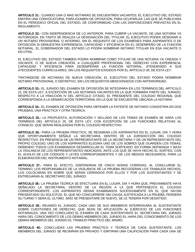**ARTICULO 31**.- CUANDO UNA O MAS NOTARIAS SE ENCUENTREN VACANTES, EL EJECUTIVO DEL ESTADO EMITIRA UNA CONVOCATORIA, PARA EXAMEN DE OPOSICIÓN, PARA OCUPARLAS, LAS QUE SE PUBLICARA EN EL PERIODICO OFICIAL DEL ESTADO, DE CONFORMIDAD CON LAS DISPOSICIONES PREVISTAS EN EL REGLAMENTO.

**ARTICULO 32.-** CON INDEPENDENCIA DE LO ANTERIOR, PARA CUBRIR LA VACANTE, DE UNA NOTARIA YA AUTORIZADA, EN TANTO SE REALIZA LA DESIGNACIÓN DEL TITULAR, EL EJECUTIVO PODRA DESIGNAR A UN NOTARIO PROVISIONAL O INTERINO, SIN EL REQUISITO DE LOS EXAMENES PARA ASPIRANTES O DE OPOSICIÓN SI DEMUESTRA EXPERIENCIA, CAPACIDAD Y EFICIENCIA EN EL DESEMPEÑO DE LA FUNCIÓN NOTARIAL, EL GOBERNADOR DEL ESTADO LO PODRA NOMBRAR NOTARIO TITULAR EN ESA VACANTE O EN OTRA.

EL EJECUTIVO DEL ESTADO TAMBIEN PODRA NOMBRAR COMO TITULAR DE UNA NOTARIA YA CREADA Y VACANTE, O DE NUEVA CREACIÓN, A CUALQUIER PROFESIONAL DEL DERECHO CON EXPERIENCIA, CAPACIDAD Y EFICIENCIA PARA DESEMPEÑAR LA FUNCIÓN NOTARIAL, ATENDIENDO A SUS ATECEDENTES CURRICULARES, SIN LOS REQUISITOS EXIGIDOS POR EL ARTICULO 30, DE ESTA LEY.

TRATÁNDOSE DE NOTARIAS DE NUEVA CREACIÓN, EL EJECUTIVO DEL ESTADO PODRA NOMBRAR NOTARIO PROVISIONAL O DEFINITIVO, SIN LOS REQUISITOS MENCIONADOS CON ANTERIORIDAD.

**ARTICULO 33.-** EL JURADO DEL EXAMEN DE OPOSICIÓN SE INTEGRARA EN LOS TERMINOS DEL ARTICULO 21, DE ESTA LEY, A EXCEPCIÓN DE LAS NOTARIAS VACANTES EN LA QUE FORMARA PARTE DEL JURADO, RESPECTO A LA FRACCIÓN IV DEL ARTÍCULO CITADO, EL PRESIDENTE DEL COLEGIO REGIONAL QUE CORRESPONDA A LA DEMARCACIÓN TERRITORIAL EN LA QUE SE ENCUENTRE UBICADA LA NOTARIA.

**ARTICULO 34.-** EL EXAMEN DE OPOSICIÓN PARA OBTENER LA PATENTE DE NOTARIO CONSISTIRA EN DOS PRUEBAS, UNA PRACTICA Y OTRA TEORICA.

**ARTICULO 35.-** LA PROPUESTA, AUTORIZACIÓN Y SELLADO DE LOS TEMAS DE EXAMEN SE HARA LOS TERMINOS DEL ARTICULO 25, DE ESTA LEY, CON EXCEPCIÓN DE LAS FUNCIONES RELATIVAS AL CONSEJO, QUE SERAN REALIZADAS POR EL COLEGIO RESPECTIVO.

**ARTICULO 36.-** PARA LA PRUEBA PRACTICA, SE REUNIRAN LOS ASPIRANTES EN EL LUGAR, DIA Y HORA QUE OPORTUNAMENTE SEÑALE LA SECRETARIA, DENTRO DE LA JURISDICCIÓN DEL COLEGIO RESPECTIVO. EN PRESENCIA DE UN REPRESENTANTE DE LA SECRETARIA Y DE UN REPRESENTANTE DEL PROPIO COLEGIO, UNO DE LOS ASPIRANTES ELEGIRA UNO DE LOS SOBRES QUE GUARDEN LOS TEMAS, DEBIENDO TODOS LOS EXAMINADOS DESARROLLAR EL TEMA SORTEADO, EN FORMA SEPARADA Y BAJO LA VIGILANCIA DE LOS REPRESENTANTES INDICADOS, ANTE LOS QUE SE HAYA HECHO EL SORTEO, CON EL AUXILIO DE LOS CODIGOS Y LEYES CORRESPONDIENTES Y DE LOS MEDIOS NECESARIOS, PARA LA ELEBORACIÓN DEL INSTRUMENTO NOTARIAL.

**ARTICULO 37.-** PARA EL EFECTO, DISPONDRAN DE CINCO HORAS CORRIDAS. AL CONCLUIRSE EL TERMINO, LOS RESPONSABLES DE LA VIGILANCIA DE LA PRUEBA RECOGERAN LOS TRABAJOS HECHOS, LOS COLOCARAN EN SOBRE QUE SERAN CERRADOS POR ELLOS Y POR LOS SUSTENTANTES Y SE ENTREGARAN AL SECRETARIO DEL JURADO.

**ARTICULO 38.-** LA PRUEBA TEORICA SE EFECTUARA EN EL LUGAR, DIA Y HORA QUE, PREVIAMENTE HAYA SEÑALADO LA SECRETARIA, DENTRO DE LA REGIÓN A LA QUE PERTENEZCA EL COLEGIO CORRESPONDIENTE. LOS ASPIRANTES SERAN EXAMINADOS SUCESIVAMENTE EN EL QUE HAYAN PRESENTADO SU SOLICITUD. EL QUE NO CONCURRIERE SIN CAUSA JUSTIFICADA A LA PRUEBA, PERDERA SU TURNO Y SERA EL ULTIMO. SINO SE PRESENTARE DE NUEVO, SE LE TENDRA POR DESISTIDO.

**ARTICULO 39.-** REUNIDO EL JURADO, CADA UNO DE SUS MIEMBROS INTERROGARA AL SUSTENTANTE SOBRE CUESTIONES DE DERECHO, QUE SEAN DE APLICACIÓN AL EJERCICIO DE LAS FUNCIONES NOTARIALES. UNA VEZ CONCLUIDO EL EXAMEN DE CADA SUSTENTANTE EL SECRETARIA DEL JURADO HARA DEL CONOCIMIENTO DE LOS DEMAS MIEMBROS DEL JURADO EL HARA DEL CONOCIMIENTO DE LOS DEMAS MIEMBROS DEL JURADO EL TRABAJO PRACTICO DEL MISMO.

**ARTICULO 40.-** CONCLUIDAS LAS PRUEBAS PRACTICA Y TEORICA DE CADA SUSTENTANTE, LOS MIEMBROS DEL JURADO SE REUNIRAN EN PRIVADO Y EMITIRAN UNA CALIFICACIÓN PARA CADA UNA DE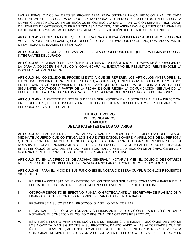LAS PRUEBAS, CUYOS VALORES SE PROMEDIARAN PARA OBTENER LA CALIFICACIÓN FINAL DE CADA SUSTENTAMENTE, LA CUAL PARA APROBAR, NO PODRA SER MENOR DE 70 PUNTOS, EN UNA ESCALA NUMÉRICA DE 10 A 100. QUIEN OBTENGA QUIEN OBTENGA LA MAYOR PUNTUACIÓN SERA EL TRIUNFADOR DEL EXAMEN DE OPOSICIÓN, CUBRIRÁN DICHAS VACANTES, Y SE ASIGNARAN A QUIENES OBTENGAN LAS CALIFICACIONES MAS ALTAS DE MAYOR A MENOR. LA RESOLUCIÓN DEL JURADO SERA DEFINITIVA.

**ARTICULO 41.-** EL SUSTENTANTE QUE OBTENGA UNA CALIFICACIÓN INFERIOR A 70 PUNTOS NO PODRA VOLVER A PRESENTAR EXAMEN, SINO DESPUÉS DE HABER TRANCURRIDO UN AÑO, CONTADO A PARTIR DE LA FECHA DEL EXAMEN PRESENTADO.

**ARTICULO 42.-** EL SECRETARIO LEVANTARA EL ACTA CORRESPONDIENTE QUE SERA FIRMADA POR LOS INTEGRANTES DEL JURADO.

**ARTICULO 43.-** EL JURADO UNA VEZ QUE HAYA TOMADO LA RESOLUCIÓN, A TRAVES DE SU PRESIDENTE, LA DARA A CONOCER EN PUBLICO Y COMUNICARA AL EJECUTIVO EL RESULTADO, REMITIENDOLE LA DOCUMENTACIÓN RELATIVA.

**ARTICULO 44.-** CONCLUIDO EL PROCEDIMIENTO A QUE SE REFIEREN LOS ARTÍCULOS ANTERIORES, EL EJECUTIVO EXPEDIRA LA PATENTE DE NOTARIO, A QUIEN O QUIENES HAYAN RESULTADO APROBADOS EN EL EXAMEN CORRESPONDIENTE, EN UN PLAZO QUE NO EXCEDERÁ DE TREINTA DIAS HABILES SIGUIENTES, CONTADOS A PARTIR DE LA FECHA EN QUE RECIBA LA COMUNICACIÓN. SEÑALANDO LA FECHA EN QUE LA SECRETARIA TOMARA LA PROTESTA LAGAL DEL DESEMPEÑO DE SUS FUNCIONES.

**ARTICULO 45.-** LA PATENTE DE NOTARIO DEBERÁ SER INSCRITA EN LA SECRETARIA, EN LA DIRECCIÓN, EN EL REGISTRO, EN EL CONSEJO Y EN EL COLEGIO REGIONAL RESPECTIVO, Y SE PUBLICARA EN EL PERIODICO OFICIAL DEL ESTADO.

#### **TITULO TERCERO DE LOS NOTARIOS CAPITULO I DE LAS PATENTES DE LOS NOTARIOS**

**ARTICULO 46.-** LAS PATENTES DE NOTARIOS SERAN EXPEDIDAS POR EL EJECUTIVO DEL ESTADO, MEDIANTE ACUERDO QUE CONTENGA LOS SIGUIENTES DATOS: NOMBRE Y APELLIDOS DE LA PERSONA QUIEN SE CONFIERE, NUMERO DE NOTARIA QUE LA CORRESPONDA, LUGAR DE RESIDENCIA DE LA NOTARIA, Y FECHA DE NOMBRAMIENTO, EL CUAL SURTIRA SUS EFECTOS, A PARTIR DE SU PUBLICACIÓN EN EL PERIODICO OFICIAL DEL ESTADO, Y SE REGISTRARA ANTE LA DIRECCIÓN DE ARCHIVO GENERAL Y NOTARIAS Y ENTE EL CONSEJO Y COLEGIO DE NOTARIOS RESPECTIVO.

**ARTICULO 47.-** EN LA DIRECCIÓN DE ARCHIVO GENERAL Y NOTARIAS Y EN EL COLEGIO DE NOTARIOS RESPECTIVO HABRA UN EXPEDIENTE DE CADA NOTARIO PARA SU CONTROL CORRESPONDIENTE.

**ARTICULO 48.-** PARA EL INICIO DE SUS FUNCIONES EL NOTARIO DEBERÁ CUMPLIR CON LOS REQUISITOS SIGUIENTES:

- I.- RENDIR LA PROTESTA DE LEY DENTRO DE LOS DIEZ DIAS SIGUENTES, CONTADOS A PARTIR DE LA FECHA DE LA PUBLICACIÓN DEL ACUERDO RESPECTIVO EN EL PERIODICO OFICIAL;
- II.- OTORGAR DEPOSITO EN EFECTIVO, FIANZA, O HIPOTECA ANTE LA SECRETARIA DE PLANEACIÓN Y FINANZAS, PARA INTEGRARLO AL FONDO DE GARANTIA DEL NOTARIADO;
- III.- PROVEERSE A SU COSTA DEL PROTOCOLO Y SELLO DE AUTORIZAR:
- IV.- REGISTRAR EL SELLO DE AUTORIZAR Y SU FIRMA ANTE LA DIRECCIÓN DE ARCHIVO GENERAL Y NOTARIAS, EL CONSEJO Y EL COLEGIO REGIONAL DE NOTARIOS RESPECTIVO;
- V.- ESTABLECER LA NOTARIA EN EL LUGAR DE SU RESIDENCIA, E INICIAR FUNCIONES DENTRO DE LOS NOVENTA DIAS SIGUENTES A SU PROTESTA, DANDO AVISO A LAS AUTORIDADES QUE SE ÑALE EL REGLAMENTO, AL CONSEJO Y AL COLEGIO REGIONAL DE NOTARIOS RESPECTIVO Y ALA COMUNIDAD, MEDIANTE PUBLICACIÓN, A SU COSTA, EN EL PERIODICO OFICIAL DEL ESTADO, Y EN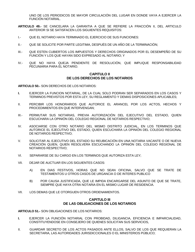UNO DE LOS PERIODICOS DE MAYOR CIRCULACIÓN DEL LUGAR EN DONDE VAYA A EJERCER LA FUNCIÓN NOTARIAL.

- **ARTICULO 49.-** SE CANCELARA LA GARANTIA A QUE SE REFIERE LA FRACCIÓN II, DEL ARTICULO ANTERIOR SI SE SATISFACEN LOS SIGUIENTES REQUISITOS:
- I.- QUE EL NOTARIO HAYA TERMINADO EL EJERCICIO DE SUS FUNCIONES:
- II.- QUE SE SOLICITE POR PARTE LEGITIMA, DESPUÉS DE UN AÑO DE LA TERMINACIÓN;
- III.- QUE ESTEN CUBIERTOS LOS IMPUESTOS Y DERECHOS ORIGINADOS POR EL DESEMPEÑO DE SU FUNCIÓN Y LOS QUE HAYAN SIDO EXPRESADO AL NOTARIO; Y
- IV.- QUE NO HAYA QUEJA PENDIENTE DE RESOLUCIÓN, QUE IMPLIQUE RESPONSABILIDAD PECUNIARIA PARA EL NOTARIO.

#### **CAPITULO II DE LOS DERECHOS DE LOS NOTARIOS**

**ARTICULO 50.-** SON DERECHOS DE LOS NOTARIOS:

- **I.** EJERCER LA FUNCION NOTARIAL, DE LA CUAL SOLO PODRAN SER SEPARADOS EN LOS CASOS Y TERMINOS PREVISTOS POR ESTA LEY, SU REGLAMENTO Y DEMAS DISPOSICIONES APLICABLES;
- II. PERCIBIR LOS HONORARIOS QUE AUTORICE EL ARANCEL POR LOS ACTOS, HECHOS Y PROCEDIMIENTOS EN QUE INTERVENGAN;
- III.- PERMUTAR SUS NOTARIAS, PREVIA AUTORIZACIÓN DEL EJECUTIVO DEL ESTADO, QUIEN ESCUCHARA LA OPINIÓN DEL COLEGIO REGIONAL DE NOTARIOS RESPECTIVO;
- IV. ASOCIARSE CON OTRO NOTARIO DEL MISMO DISTRITO JUDICIAL, EN LOS TERMINOS QUE AUTORICE EL EJECUTIVO DEL ESTADO, QUIEN ESCUCHARA LA OPINIÓN DEL COLEGIO REGIONAL DE NOTARIOS RESPECTIVO;
- V. SOLICITAR AL EJECUTIVO DEL ESTADO SU REUBICACIÓN EN UNA NOTARIA VACANTE O DE NUEVA CREACIÓN QUIEN, QUIEN RESOLVERA ESCUCHANDO LA OPINIÓN DEL COLEGIO REGIONAL DE NOTARIOS RESPECTIVO;
- VI. SEPARARSE DE SU CARGO EN LOS TERMINOS QUE AUTORIZA ESTA LEY;
- VII. DEJAR DE AUCTUAR EN LOS SIGUIENTES CASOS:
	- A) EN DIAS FESTIVOS, HORAS QUE NO SEAN OFICINA, SALVO QUE SE TRATE DE TESTAMENTOS U OTROS CASOS DE URGANCIA O DE INTERES PUBLICO
	- B) POR CAUSA JUSTIFICADA, QUE LE IMPIDA ENCARGARSE DEL ASUNTO DE QUE SE TRATE, SIEMPRE QUE HAYA OTRA NOTARIA EN EL MISMO LUGAR DE RESIDENCIA.
- VII. LOS DEMAS QUE LE OTORGUEN OTROS ORDENAMIENTOS.

# **CAPITULO III DE LAS OBLIGACIONES DE LOS NOTARIOS**

**ARTICULO 51.-** SON OBLIGACIONES DE LOS NOTARIOS:

- **I.** EJERCER LA FUNCIÓN NOTARIAL CON PROBIDAD, DILIGANCIA, EFICIENCIA E IMPARCIALIDAD, CONSTITUYENDOSE EN CONSEJERO DE QUIENES SOLICITAN SUS SERVICIOS,
- II. GUARDAR SECRETO DE LOS ACTOS PASADOS ANTE ELLOS, SALVO DE LOS QUE REQUIERAN LA SECRETARIA, LAS AUTORIDADES JURISDICCIONALES O EL MINISTERIOS PÚBLICO;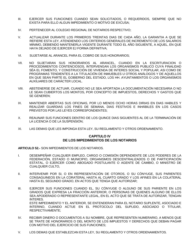- III. EJERCER SUS FUNCIONES CUANDO SEAN SOLICITADOS, O REQUERIDOS, SIEMPRE QUE NO EXISTA PARA ELLO ALGUN IMPEDIMIENTO O MOTIVO DE EXCUSA;
- IV. PERTENECER AL COLEGIO REGIONAL DE NOTARIOS RESPECTIVO;
- V. ACTUALIZAR DURANTE LOS PRIMEROS TREINTAS DIAS DE CADA AÑO, LA GARANTIA A QUE SE REFIERE ESTA LEY, ATENDIENDO LOS CRITERIOS GENERALES DE INCREMENTO DE LOS SALARIOS MINIMO, DEBIENDO MANTENERLA VIGENTE DURANTE TODO EL AÑO SIGUIENTE, A AQUEL, EN QUE HAYA DEJADO DE EJERCER EJ FORMA DEFINITIVA;
- VI. SUJETARSE AL ARANCEL PARA EL COBRO DE SUS HONORARIOS;
- VII. NO SUJETARAN SUS HONORARIOS AL ARANCEL, CUANDO EN LA ESCRITURACION O PROCEDIMIENTOS CONTENCIOSOS, INTERVENGAN LOS ORGANISMOS PUBLICO CUYA FINALIDAD SÉA EL FOMENTO, Y CONSTRUCCIÓN DE VIVIENDA DE INTERES SOCIAL Y POPULAR, ASI COMO DE PROGRAMAS TENDIENTES A LA TITULACIÓN DE INMUEBLES U OTROS ANÁLOGOS Y DE AQUELLOS EN QUE SEAN PARTE EL GOBIERNO DEL ESTADO, LOS HH. AYUNTAMIENTOS O LOS ORGANISMOS AUXILIARES DE CARÁCTER LOCAL.
- VIII. ABSTENERSE DE ACTUAR, CUANDO NO LE SEA APORTADA LA DOCUMENTACIÓN NECESARIA O NO LE SEAN CUBIERTOS LOS MONTOS, POR CONCEPTO DE IMPUESTOS, DERECHOS Y GASTOS QUE SE GENEREN;
- IX. MANTENER ABIERTAS SUS OFICINAS, POR LO MENOS OCHO HORAS DIRIAS EN DIAS HABILES Y REALIZAR GUARDIAS LOS FINES DE SEMANA, DIAS FESTIVOS E INHÁBILES EN LOS CASOS PREVISTOS POR LAS LEYES CORRESPONDIENTES;
- X. REAUNAR SUS FUNCIONES DENTRO DE LOS QUINCE DIAS SIGUIENTES AL DE LA TERMINACIÓN DE LA LICENCIA O DE LA SUSPENSIÓN;
- XI. LAS DEMAS QUE LES IMPONGA ESTA LEY, SU REGLAMENTO Y OTROS ORDENAMIENTO.

# **CAPITULO IV DE LOS IMPEDIMIENTOS DE LOS NOTARIOS**

**ARTICULO 52.-** SON IMPEDIMIENTOS DE LOS NOTARIOS.

- I. DESEMPEÑAR CUALQUIER EMPLEO, CARGO O COMISIÓN DEPENDIENTE DE LOS PODERES DE LA FEDERACIÓN, ESTADO O MUNICIPIO, ORGANISMOS DESCENTRALIZADOS O DE PARTICIPACIÓN ESTATAL, O EJERCER COMO ABOGADO POSTULANTE O AGENTE DE CAMBIO, O MINISTRO DE CUALQUIER CULTO,
- II. INTERVENIR POR SI, O EN REPRESENTACIÓN DE OTOROS, O SU CÓNYUGE, SUS PARIENTES CONSAGUINEOS EN LA CORATERAL HASTA AL CUARTO GRADO Y LOS AFINES EN LA COLATERAL HASTA EL SEGUNDO GRADO, EN ACTOS QUE TENGA QUE AUTORIZAR;
- III. EJERCER SUS FUNCIONES CUANDO EL, SU CÓNYUGE O ALGUNO DE SUS PARIENTE EN LOS GRADOS QUE EXPRESA LA FRACCIÓN ANTERIOR, O PERSONAS DE QUIENES ALGUNO DE ELLOS SEA APODERADO O REPRESENTANTE LEGAL, EN EL ACTO QUE SE TRATA DE AUTORIZAR, TENGAN INTERES. ESTE IMPEDIMIENTO Y EL ANTERIOR, SE ENTENDERAN PARA EL NOTARIO SUPLENTE, ASOCIADO E INTERINO, CUANDO ACTUE EN EL PROTOCOLO DEL SUPLIDO, ASOCIADO O TITULAR, RESPECTIVAMENTE;
- IV. RECIBIR DINERO O DOCUMENTOS A SU NOMBRE, QUE REPRESENTEN NUMERARIO, A MENOS QUE SE TRATE DE HONORARIOS O DEL MONTO DE LOS IMPUESTOS Y DERECHOS QUE DEBAN PAGAR CON MOTIVO DEL EJERCICIO DE SUS FUNCIONES;
- V. LOS DEMAS QUE ESTABLEZCAN ESTA LEY, SU REGLAMENTO Y OTROS ORDENAMIENTOS.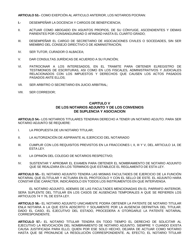**ARTICULO 53.-** COMO EXEPCIÓN AL ARTICULO ANTERIOR, LOS NOTARIOS POCRAN:

- **I.-** DESEMPEÑAR LA DOCENCIA Y CARGOS DE BENEFICIENCIA;
- II. ACTUAR COMO ABOGADO EN ASUNTOS PROPIOS, DE SU CÓNYUGE, ASCENDIENTES Y DEMAS PARIENTES POR CONSANGUINIDAD O AFINIDAD HASTA EL CUARTO GRADO;
- III. DESEMPEÑAR EL CARGO DE SECRETARIO DE ASOCIACIONES CIVILES O SOCEDADES, SIN SER MIEMBRO DEL CONSEJO DIRECTIVO O DE ADMINISTRACIÓN;
- IV. SER TUTOR, CURADOR O ALBACEA;
- V. DAR CONSULTAS JURÍDICAS DE ACUERDO A SU FUNCIÓN;
- VI. PATROCINAR A LOS INTERESADOS, EN EL TRAMITE PARA OBTENER ELREGISTRO DE TESTIMONIOS DE ESCRITURAS, ASI COMO EN LOS FISCALES, ADMINISTRATIVOS Y JUDICIALES RELACIONADOS CON LOS IMPUESTOS Y DERECHOS QUE CAUSEN LOS ACTOS PASADOS PASADOS ANTE ELLOS;
- VII. SER ARBITRO O SECRETARIO EN JUICIO ARBITRAL;
- VIII. SER CORREDOR;

# **CAPITULO V DE LOS NOTARIOS ADJUNTO Y DE LOS CONVENIOS DE SUPLENCIA Y ASOCIACION**

**ARTICULO 54.-** LOS NOTARIOS TITULARES TENDRAN DERECHO A TENER UN NOTARIO ADJUTO. PARA SER NOTARIO ADJUNTO SE REQUIERE:

- I. LA PROPUESTA DE UN NOTARIO TITULAR;
- II. LA AUTORIZACIÓN DE ASPIRANTE AL EJERCICIO DEL NOTARIADO
- III. CUMPLIR CON LOS REQUISITOS PREVISTOS EN LA FRACCIONES I, II, III Y V, DEL ARTICULO 14, DE ESTA LEY.
- IV. LA OPINIÓN DEL COLEGIO DE NOTARIOS RESPECTIVO;
- IV. SUSTENTAR Y APROBAR EL EXAMEN PARA OBTENER EL NOMBRAMIENTO DE NOTARIO ADJUNTO QUE SE REALIZARA EN LOS TERMINOS QUE ESTABLECE EL REGLAMENTO DE ESTA LEY.

**ARTICULO 55.-** EL NOTARIO ADJUNTO TENDRA LAS MISMAS FACULTADES DE EJERCICIO DE LA FUNCIÓN NOTARIAL QUE ELTITULAR Y ACTUARA EN EL PROTOCOLO Y CON EL SELLO DE ESTE. EL ADJUNTO HARA CONSTAR ESE CARÁCTER, INDICÁNDOLO EN TODOS LOS INSTRUMENTOS EN QUE INTERVENGA.

EL NOTARIO ADJUNTO, ADEMÁS DE LAS FACULTADES MENCIONADAS EN EL PARRAFO ANTERIOR, SERA SUPLENTE DEL TITULAR EN LOS CASOS DE AUSENCIAS TEMPORALES A QUE SE REFIEREN LOS ARTICULOS 74 Y 76, DE ESTA LEY.

**ARTICULO 56.-** EL NOTARIO ADJUNTO UNICAMENTE PODRA OBTENER LA PATENTE DE NOTARIO TITULAR ENLA NOTARIA A LA QUE ESTA ADSCRITO Y SOLAMENTE POR LA AUSENCIA DEFINITIVA DEL TITULAR. DADO EL CASO, EL EJECUTIVO DEL ESTADO, PROCEDERA A OTORGARLE LA PATENTE NOTARIAL CORRESPONDIENTE.

**ARTICULO 57.-** EL NOTARIO TITULAR TENDRA EN TODO TIEMPO EL DERECHO DE SOLICITAR AL EJECUTIVO LA REVOCACIÓN DEL NOMBRAMIENTO DE NOTARIO ADJUNTO, SIEMPRE Y CUANDO EXISTA CAUSA JUSTIFICADA PARA ELLO, QUIEN POR ESE SOLO HECHO, DEJARA DE ACTUAR COMO NOTARIO HASTA QUE SE PRONUNCIE LA RESOLUCIÓN CORRESPONDIENTE. AL EFECTO, EL NOTARIO TITULAR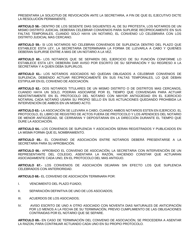PRESENTARA LA SOLICITUD DE REVOCACIÓN ANTE LA SECRETARIA, A FIN DE QUE EL EJECUTIVO DICTE LA RESOLUCIÓN PERMANENTE.

**ARTICULO 58.-** DENTRO DE LOS SESENTE DIAS SIGUIENTES AL DE SU PROTESTA, LOS NOTARIOS DE UN MISMO DISTRITO JUDICIAL DEBERAN CELEBRAR CONVENIOS PARA SUPLIRSE RECÍPROCAMENTE EN SUS FALTAS TEMPORALES. CUANDO SOLO HAYA UN NOTARIO, EL CONVENIO LO CELEBRARA CON LOS DISTRITO JUDICIAL MAS CERCANO.

**ARTICULO 59.-** SI LOS NOTARIOS NO CELEBRAN CONVENIOS DE SUPLENCIA DENTRO DEL PLAZO QUE ESTABLECE ESTA LEY, LA SECRETARIA DETERMINARA LA FORMA DE LLEVARLA A CABO Y QUIENES DEBERAN SUPLIRSE ENTRE A MAS DE UN NOTARIO A LA VEZ.

**ARTICULO 60.-** LOS NOTARIOS QUE SE SEPAREN DEL EJERCICIO DE SU FUNCIÓN CONFORME LO ESTABLECE ESTA LEY, DEBERÁN DAR AVISO POR ESCRITO DE SU SEPARACIÓN Y SU REGRESO A LA SECRETARIA Y A QUIEN DEBA SUPLIRLOS.

**ARTICULO 61.-** LOS NOTARIOS ASOCIADOS NO QUEDAN OBLIGADOS A CELEBRAR CONVENIOS DE SUPLENCIA, DEBIENDO ACTUAR RECÍPROCAMENTE EN SUS FALTAS TEMPORALES, LO QUE DEBAN ESTIPULAR EN EL CONVENIO DE ASOCIACIÓN.

**ARTICULO 62.-** DOS NOTARIOS TITULARES DE UN MISMO DISTRITO O DE DISTRITOS MAS CERCANOS, CUANDO HAYA UN SOLO, PODRAN ASOCIARSE POR EL TIEMPO QUE CONVENGAN PARA ACTUAR INDISTINTAMENTE EN EL PROTOCOLO DEL NOTARIO CON MAYOR ANTIGÜEDAD EN EL EJERCICIO NOTARIAL CADA NOTARIO USARA SU PROPIO SELLO EN SUS ACTUACIONES QUEDANDO PROHIBIDA LA INTERVENCIÓN DE AMBOS EN UN MISMO ACTO.

**ARTICULO 63.-** LA ASOCIACIÓN SE LLEVARA A CABO, CUANDO AMBOS NOTARIOS ESTEN EN EJERCICIO. EL PROTOCOLO, EL LIBRO DE REGISTRO DE ACTOS FUERA DE PROTOCOLO Y LOS APENDICES DEL NOTARIO DE MENOR ANTIGÜEDAD, SE CERRARAN Y DEPOSITARAN EN LA DIRECCIÓN DURANTE EL TIEMPO QUE DURE LA ASOCIACIÓN.

**ARTICULO 64.-** LOS CONVENIOS DE SUPLENCIA Y ASOCIACIÓN SERAN REGISTRADOS Y PUBLICADOS EN LA MISMA FORMA QUE EL NOMBRAMIENTO.

**ARTICULO 65.-** EL CONVENIO DE ASOCIACIÓN ENTRE NOTARIOS DEBERÁ PRESENTARSE A LA SECRETARIA PARA SU APROBACIÓN.

**ARTICULO 66.-** APROBADO EL CONVENIO DE ASOCIACIÓN, LA SECRETARIA CON INTERVENCIÓN DE UN REPRESENTANTE DEL COLEGIO, ASENTARA LA RAZÓN, HACIENDO CONSTAR QUE ACTUARAN ASOCIADAMENTE CADA UNO, EN EL PROTOCOLO DEL MAS ANTIGUO.

**ARTICULO 67.-** LOS CONVENIOS DE ASOCIACIÓN DEJARAN SIN EFECTO LOS QUE SUPLENCIA CELEBRADOS CON ANTERIORIDAD.

**ARTICULO 68.-** EL CONVENIO DE ASOCIACIÓN TERMINARA POR:

- I. VENCIMIENTO DEL PLAZO FIJADO;
- II. SEPARACIÓN DEFINITIVA DE UNO DE LOS ASOCIADOS;
- III. ACUERDOS DE LOS ASOCIADOS;
- IV. AVISO ESCRITO DE UNO A OTRO ASOCIADO CON NOVENTA DIAS NATURALES DE ANTICIPACIÓN POR LO MENOS A LA FECHA DE SU TERMINACIÓN, PREVIO CUMPLIMIENTO DE LAS OBLIGACIONES CONTRAIDAS POR EL NOTARIO QUE SE SEPARE.

**ARTICULO 69.-** EN CASO DE TERMINACIÓN DEL CONVENIO DE ASOCIACIÓN, SE PROCEDERA A ASENTAR LA RAZON, PARA CONTINUAR ACTUANDO CADA UNO EN SU PROPIO PROTOCOLO.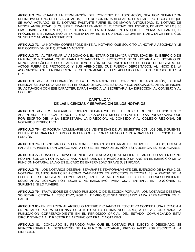**ARTICULO 70.-** CUANDO LA TERMINACIÓN DEL CONVENIO DE ASOCIACIÓN, SEA POR SEPARACIÓN DEFINITIVA DE UNO DE LOS ASOCIADOS, EL OTRO CONTINUARA USANDO EL MISMO PROTOCOLO EN QUE SE HAYA ACTUADO. SI EL NOTARIO FALTANTE FUERE EL DE MAYOR ANTIGÜEDAD, EL NOTARIO DE MENOR ANTIGÜEDAD, SI QUISIERE, TRAMITARA ANTE EL EJECUTIVO DEL ESTADO, DENTRO DE LOS 30 DIAS HABILES SIGUENTES, SER TITULAR DE LA NOTARIA EN LA QUE SE VENIA ACTUANDO, SI PROCEDIERE, EL EJECUTIVO LE EXPEDIRA LA PATENTE, PUDIENDO ACTUAR EN TANTO LA OBTIENE, CON SU SELLO Y NUMERO ANTERIORES.

**ARTICULO 71.-** LA NOTARIA CORRESPONDIENTE AL NOTARIO, QUE SOLICITO LA NOTARIA ASOCIADA Y LE FUE CONCEDIDA, QUE QUEDARA VACANTE.

**ARTICULO 72.-** AL TERMINAR LA ASOCIACIÓN, EL NOTARIO DE MAYOR ANTIGÜEDAD EN EL EJERCICIO DE LA FUNCIÓN NOTARIAL, CONTINUARA ACTUANDO EN EL PROTOCOLO DE SU NOTARIA Y EL NOTARIO DE MENOR ANTIGÜEDAD, SOLICITARA LA DEVOLUCIÓN DE SU PROTOCOLO, SU LIBRO DE REGISTRO DE ACTOS FUERA DE PROTOCOLO Y SUS APENDICES, QUE FUERON DEPOSITADOS, AL INICIO DE LA ASOCIACIÓN, ANTE LA DIRECCIÓN, DE CONFORMIDAD A LO ESTABLECIDO EN EL ARTICULO 63, DE ESTA LEY.

**ARTICULO 73.-** LA CELEBRACIÓN Y LA TERMINACIÓN DEL CONVENIO DE ASOCIACIÓN, DEBERÁ PUBLICARSE UNA SOLA VEZ EN EL PERIODICO OFICIAL DEL ESTADO Y LOS ASOCIADOS ANTES DE INICIAR SU ACTUACIÓN CON ESE CARÁCTER, DARAN AVISO A LA SECRETARIA, LA DIRECCIÓN, AL CONSEJO Y AL COLEGIO.

# **CAPITULO VI DE LAS LICENCIAS Y SEPARACIÓN DE LOS NOTARIOS**

**ARTICULO 74.-** LOS NOTARIOS PODRAN SEPARARSE DEL EJERCICIO DE SUS FUNCIONES O AUSENTARSE DEL LUGAR DE SU RESIDENCIA, CADA SEIS MESES POR VEINTE DIAS, PREVIO AVISO QUE POR ESCRITO DEN A LA SECRETARIA, LA DIRECCIÓN, AL CONSEJO Y AL COLEGIO REGIONAL DE NOTARIOS RESPECTIVO.

**ARTICULO 75.-** NO PODRAN ACUMULARSE LOS VEINTE DIAS DE UN SEMESTRE CON LOS DEL SIGUIENTE, DEBIENDO MEDIAR ENTRE AMBOS UN PERIODO DE POR LO MENOS TREINTA DIAS EN EL EJERCICIO DE LA FUNCIÓN.

**ARTICULO 76.-** LOS NOTARIOS EN FUNCIONES PODRAN SOLICITAR AL EJECUTIVO DEL ESTADO, LICENCIA PARA SEPARARSE DE UN CARGO, HASTA POR EL TERMINO DE UN AÑO. ESTA LICENCIA ES RENUNCIABLE.

**ARTICULO 77.-** CUANDO SE HAYA OBTENIDO LA LICENCIA A QUE SE REFIERE EL ARTICULO ANTERIOR, NO PODRAN SOLICITAR OTRA IGUAL HASTA DESPUÉS DE TRANSCURRIDO UN AÑO EN EL EJERCICIO DE LA FUNCIÓN NOTARIAL SALVO EN EL CASO DE ENFERMEDAD GRAVE JUSTIFICADA.

**ARTICULO 78.-** LOS NOTARIOS DEBERAN SEPARARSE TEMPORALMENTE DEL EJERCICIO DE LA FUNCIÓN NOTARIAL, CUANDO PARTICIPEN COMO CANDIDATOS EN PROCESOS ELECTORALES, A PARTIR DE LA FECHA DE SU REGISTRO COMO TALES, ANTE LA AUTORIDAD ELECTORAL CORRESPONDIENTE, SOLICITANDO LICENCIA POR ESCRITO AL EJECUTIVO, PARA CUAL ENTRARA EN FUNCIONES EL SUPLENTE, SI LO TUVIERE.

**ARTICULO 79.-** TRATÁNDOSE DE CARGO PUBLICOS O DE ELECCIÓN POPULAR, LOS NOTARIOS DEBERAN SOLICITAR LICENCIA AL EJECUTIVO, POR EL TIEMPO QUE SEA NECESARIO PARA PERMANECER EN EL CARGO.

**ARTICULO 80.-** EN RELACIÓN AL ARTICULO ANTERIOR, CUANDO EL EJECUTIVO CONCEDA UNA LICENCIA A UN NOTARIO, PODRA DESIGNAR SUSTITUTO SI LO ESTIMA NECESARIO, A SU VEZ ORDENARA LA PUBLICACIÓN CORRESPONDIENTE EN EL PERIODICO OFICIAL DEL ESTADO, COMUNICANDO ESTA CIRCUNSTANCIA AL DIRECTOR DE ARCHIVO GENERAL Y NOTARIAS.

**ARTICULO 81.-** CONCLUIDO EL PERIODO PARA QUE EL NOTARIO FUE ELECTO O DESIGNADO, SE REINCORPORARA AL DESEMPEÑO DE LA FUNCIÓN NOTARIAL, PREVIO AVISO POR ESCRITO A LA DIRECCIÓN.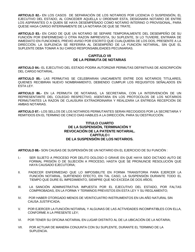**ARTICULO 82.-** EN LOS CASOS DE SEPARACIÓN DE LOS NOTARIOS POR LICENCIA O SUSPENSIÓN, EL EJECUTIVO DEL ESTADO, AL CONCEDER AQUELLA U ORDENAR ESTA, DESIGNARA NOTARIO DE ENTRE LOS ASPIRANTES O A QUIEN SE HAYA DESEMPEÑADO COMO NOTARIO INTERINO O PROVISIONAL, PARA QUESE HAGA CARGO INTERINAMENTE DE LA NOTARIA DE QUE SE TRATE.

**ARTICULO 83.-** EN CASO DE QUE UN NOTARIO SE SEPARE TEMPORALMENTE DEL DESEMPEÑO DE SU FUNCIÓN POR ENFERMEDAD U OTRA RAZON IMPREVISTA, SU SUPLENTE, SI LO TUVIERE, ENTRARA DE INMEDIATO EN FUNCIONES, PREVIO AVISO POR ESCRITO QUE CUALQUIERA DE LOS DOS, PRESENTE A LA DIRECCIÓN. LA SUPLENCIA SE REFERIRA AL DESEMPEÑO DE LA FUNCIÓN NOTARIAL, SIN QUE EL SUPLENTE DEBA TOMAR A SU CARGO RESPONSABILIDADES PECUNIARIAS.

### **CAPITULO VII DE LA PERMUTA DE NOTARIAS**

**ARTICULO 84.-** EL EJECUTIVO DEL ESTADO PODRA AUTORIZAR PERMUTAS DEFINITIVAS DE ADSCRIPCIÓN DEL CARGO NOTARIAL.

**ARTICULO 85.-** LAS PERMUTAS SE CELEBRARAN UNICAMENTE ENTRE DOS NOTARIOS TITULARES, QUIENES RECIBIRAN NUEVO NOMBRAMIENTO, DEBIENDO CUMPLIR LOS REQUISITOS SEÑALADOS EN ESTA LEY.

**ARTICULO 86.-** EN LA PERMUTA DE NOTARIAS, LA SECRETARIA, CON LA INTERVENCIÓN DE UN REPRESENTANTE DEL COLEGIO RESPECTIVO, ASENTARA EN LOS PROTOCOLOS DE LOS NOTARIOS PERMUTANTES LA RAZON DE CLAUSURA EXTRAORDINARIA Y REALIZARA LA ENTREGA RECEPCIÓN DE AMBAS NOTARIAS.

**ARTICULO 87.-** LOS SELLOS DE LOS NOTARIOS PERMUTANTES SERAN RECOGIDOS POR LA SECRETARIA Y REMITIDOS EN EL TERMINO DE CINCO DIAS HABILES A LA DIRECCIÓN, PARA SU DESTRUCCIÓN.

## **TITULO CUARTO DE LA SUSPENSIÓN, TERMINACIÓN Y REVOCACIÓN DE LA PATENTE NOTARIAL. CAPITULO I DE LA SUSPENSIÓN DE LOS NOTARIOS.**

**ARTICULO 88.-** SON CAUSAS DE SUSPENSIÓN DE UN NOTARIO EN EL EJERCICIO DE SU FUNCIÓN :

- I.- SER SUJETO A PROCESO POR DELITO DOLOSO O GRAVE EN QUE HAYA SIDO DICTADO AUTO DE FORMAL PRISIÓN O DE SUJECIÓN A PROCESO, HASTA QUE SE PRONUNCIE RESOLUCIÓN QUE HAYA CAUSADO EJECUTORIA;
- II. PADECER ENFERMEDAD QUE LO IMPOSIBILITE EN FORMA TRANSITORIA PARA EJERCER LA FUNCIÓN NOTARIAL, SURTIENDO EFECTO, EN TAL CASO, LA SUSPENSIÓN DURANTE TODO EL TIEMPO QUE DURE EL IMPEDIMIENTO, SIEMPRE QUE NO EXCEDA DE DOS AÑOS;
- III. LA SANCIÓN ADMINISTRATIVA IMPUESTA POR EL EJECUTIVO DEL ESTADO, POR FALTAS COMPROBADAS, EN LA FORMA Y TERMINOS PREVISTOS EN ESTA LEY Y SU REGLAMENTO;
- IV. POR HABER OTORGADO MENOS DE VEINTICUATRO INSTRUMENTOS EN UN AÑO NATURAL SIN CAUSA JUSTIFICADA;
- V. POR EJERCER LA FUNCIÓN NOTARIAL Y ALGUNAS DE LAS ACTIVIDADES INCOMPATIBLES CON ELLA, CONFORME A LA PRESENTE LEY;
- VI. POR TENER SU OFICINA NOTARIAL EN LUGAR DISTINTO AL DE LA UBICACIÓN DE LA NOTARIA;
- VII. POR ACTUAR DE MANERA CONJUNTA CON SU SUPLENTE, DURANTE EL TERMINO DE LA SUPLENCIA.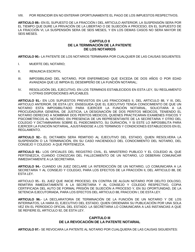VIII. POR REINCIDIR EN NO ENTERAR OPORTUNAMENTE EL PAGO DE LOS IMPUESTOS RESPECTIVOS.

**ARTICULO 89.-** EN EL SUPUESTO DE LA FRACCIÓN I DEL ARTICULO ANTERIOR, LA SUSPENSIÓN SERA POR EL TIEMPO QUE DURE LA PRIVACIÓN DE LA LIBERTAD O DE SUJECIÓN A PROCESO, EN EL SUPUESTO DE LA FRACCIÓN VI, LA SUSPENSIÓN SERA DE SEIS MESES, Y EN LOS DEMAS CASOS NO SERA MAYOR DE SEIS MESES.

### **CAPITULO II DE LA TERMINACIÓN DE LA PATENTE DE LOS NOTARIOS**

**ARTICULO 90.-** LA PATENTE DE LOS NOTARIOS TERMINARA POR CUALQUIER DE LAS CAUSAS SIGUIENTES:

- I. MUERTE DEL NOTARIO;
- II. RENUNCIA ESCRITA;
- III. IMPOSIBILIDAD DEL NOTARIO, POR ENFERMEDAD QUE EXCEDA DE DOS AÑOS O POR EDAD AVANZADA QUE LE IMPIDA EL DESEMPEÑO DE LA FUNCIÓN NOTARIAL;
- IV. RESOLUCIÓN DEL EJECUTIVO, EN LOS TERMINOS ESTABLECIDOS EN ESTA LEY, SU REGLAMENTO U OTRAS DISPOSICIONES APLICABLES.

**ARTICULO 91.-** EN LOS SUPUESTOS PREVISTOS EN LAS FRACCIONES II, DEL ARTICULO 88, Y III, DEL ARTICULO ANTERIOR, DE ESTA LEY, ENSEGUIDA QUE EL EJECUTIVO TENGA CONOCIMIENTO DE QUE UN NOTARIO ESTA IMPOSIBILITADO PARA EJERCER LA FUNCIÓN NOTARIAL, SOLICITARA A LA PROCUDADURIA GENERAL DE JUSTICIA, LA DESIGNACIÓN DE DOS PERITOS MEDICOS, TENIENDO EL NOTARIO DERECHO A NOMBRAR DOS PERITOS MEDICOS, QUIENES PRACTICARAN EXAMENES FISICOS Y PSICOMETRICOS AL NOTARIO. EN PRESENCIA DE UN REPRESENTANTE DE LA SECRETARIA Y OTRO DEL COLEGIO Y DICTAMINARAN SOBRE EL PADECIMIENTO, SU DURACIÓN, Y SI ESTE LO IMPOSIBILITA PARA EJERCER LA FUNCIÓN NOTARIAL, AJUSTÁNDOSE A LOS TERMINOS Y CONDICIONES ESTABLECIDOS EN EL REGLAMENTO.

**ARTICULO 92.-** EL DICTAMEN SERA REMITIDO AL EJECUTIVO DEL ESTADO, QUIEN RESOLVERA LA SUSPENSIÓN O LA TERMINACIÓN, EN SU CASO HACIENDOLO DEL CONOCIMIENTO DEL NOTARIO, DEL CONSEJO Y COLEGIO A QUE PERTENEZCA.

**ARTICULO 93.-** LOS OFICIALES DEL REGISTRO CIVIL, EL MINISTERIO PUBLICO Y EL COLEGIO AL QUE PERTENEZCA, CUANDO CONOZCAN DEL FALLECIMIENTO DE UN NOTARIO, LO DEBERAN COMUNICAR INMEDIATAMENTE A LA SECRETARIA.

**ARTICULO 94.-** CUANDO UN JUEZ DECLARE LA INTERDICCIÓN DE UN NOTARIO, LO COMUNICARA A LA SECRETARIA Y AL CONSEJO Y COLEGIO, PARA LOS EFECTOS DE LA FRACCIÓN II, DEL ARTICULO 88, DE ESTA LEY.

ARTICULO 95.- EL JUEZ QUE INICIE PROCESO, EN CONTRA DE ALGUN NOTARIO POR DELITO DOLOSO, REMITIRA INMEDIATAMENTE A LA SECRETARIA Y AL CONSEJO Y COLEGIO RESPECTIVO, COPIA CERTIFICADA DEL AUTO DE FORMAL PRISIÓN DE SUJECIÓN A PROCESO Y, EN SU OPORTUNIDAD, DE LA SETENCIA EJECUTORIADA, PARA LOS EFECTOS DEL ARTICULO 88, FRACCION I, DE ESTA LEY.

**ARTICULO 96.-** LA DECLARATORIA DE TERMINACIÓN DE LA FUNCIÓN DE UN NOTARIO Y DE LOS INTERINATOS, LA HARA EL EJECUTIVO DEL ESTADO, QUIEN ORDENARA SU PUBLICACIÓN POR UNA SOLA VEZ EN EL PERIODICO OFICIAL DEL ESTADO. LA SECRETARIA LO COMUNICARA A LAS INSTANCIAS A QUE SE REFIERE EL ARTICULO 92, DE ESTA LEY.

#### **CAPITULO III DE LA REVOCACIÓN DE LA PATENTE NOTARIAL**

**ARTICULO 97.-** SE REVOCARA LA PATENTE AL NOTARIO POR CUALQUIERA DE LAS CAUSAS SIGUIENTES: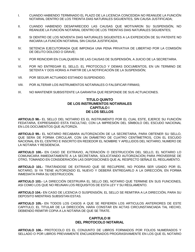- I. CUANDO HABIENDO TERMINADO EL PLAZO DE LA LICENCIA CONCEDIDA NO REANUDE LA FUNCIÓN NOTARIAL DENTRO DE LOS TREINTA DIAS NATURALES SIGUIENTES, SIN CAUSA JUSTIFICADA;
- II. CUANDO HABIENDO DESAPARECIDO LAS CAUSAS QUE MOTIVARON SU SUSPENSIÓN, NO REANUDE LA FUNCIÓN NOTARIAL DENTRO DE LOS TREINTAS DIAS NATURALES SIGUIENTES;
- III. SI DENTRO DE LOS NOVENTA DIAS NATURALES SIGUENTES A LA EXPEDICIÓN DE SU PATENTE NO INICIARA LA FUNCIÓN NOTARIAL SIN CAUSA JUSTIFICADA;
- IV. SETENCIA EJECUTORIADA QUE IMPONGA UNA PENA PRIVATIVA DE LIBERTAD POR LA COMISIÓN DE DELITO DOLOSO O GRAVE;
- V. POR REINCIDIR EN CUALQUIERA DE LAS CAUSAS DE SUSPENSIÓN, A JUICIO DE LA SECRETARIA.
- VI. POR NO ENTREGAR EL SELLO, EL PROTOCOLO Y DEMAS DOCUMENTOS, EN UN TERMINO DE SETENTA Y DOS HORAS A PARTIR DE LA NOTIFICACIÓN DE LA SUSPENSIÓN;
- VII. POR SEGUIR ACTUANDO ESTANDO SUSPENDIDO;
- VIII. POR ALTERAR LOS INSTRUMENTOS NOTARIALES O FALSIFICAR FIRMAS;
- IX. NO MANTENER SUBSISTENTE LA GARANTIA QUE RESPONDE DE SUS ACTUACIONES.

#### **TITULO QUINTO DE LOS INSTRUMENTOS NOTARIALES CAPITULO I DE LOS SELLOS**

**ARTICULO 98.-** EL SELLO DEL NOTARIO ES EL INSTRUMENTO POR EL CUAL ESTE, EJERCE SU FUNCIÓN FEDATARIA, EXPRESANDO ESTA FACULTAD, CON LA IMPRESIÓN DEL SÍMBOLO DEL ESCUDO NACIONAL EN LOS DOCUMENTOS QUE AUTORIZA.

**ARTICULO 99.-** EL NOTARIO RECABARA AUTORIZACIÓN DE LA SECRETARIA, PARA OBTENER SU SELLO, QUE SERA DE FORMA CIRCULAR, CON UN DIÁMETRO DE CUATRO CENTÍMETROS, CON EL ESCUDO NACIONAL EN EL CENTRO E INSCRITO EN REDEDOR EL NOMBRE Y APELLIDOS DEL NOTARIO, NUMERO DE LA NOTARIA Y RESIDENCIA.

**ARTICULO 100.-** EN CASO DE EXTRAVIO, ALTERACIÓN O DESTRUCCIÓN DEL SELLO, EL NOTARIO LO COMUNICARA INMEDIATAMENTE A LA SECRETARIA, SOLICITANDO AUTORIZACIÓN PARA PROVEERSE DE OTRO, TOMANDO EN CONSIDERACIÓN LAS DISPOSICIONES QUE AL RESPECTO SEÑALE EL REGLAMENTO.

**ARTICULO 101.-** TRATÁNDOSE DE EXTRAVIO QUE SE RECUPERE, NO PODRA SER USADO POR EL NOTARIO, SI YA TIENE AUTORIZADO EL NUEVO Y DEBERÁ ENTREGARLO A LA DIRECCIÓN, EN FORMA INMEDIATA PARA SU DESTRUCCIÓN.

**ARTICULO 103.-** LA DIRECCIÓN DESTRUIRA EL SELLO DEL NOTARIO QUE TERMINE EN SUS FUNCIONES, ASI COMO LOS QUE NO REUNAN LOS REQUISITOS DE ESTA LEY Y SU REGLAMENTO.

**ARTICULO 104.-** EN CASO DE LICENCIA O SUSPENSIÓN, EL SELLO SE REMITIRA A LA DIRECCIÓN, PARA SU DEPOSITO MIENTRAS SUBSISTAN ESTAS.

**ARTICULO 105.-** EN TODOS LOS CASOS A QUE SE REFIEREN LOS ARTICULOS ANTERIORES DE ESTE CAPITULO, EL TITULAR DE LA DIRECCIÓN, HARA CONSTAR EN ACTAS CIRCUNSTANCIADA TAL HECHO, DEBIENDO REMITIR COPIA A LA NOTARIA DE QUE SE TRATE.

#### **CAPITULO III DEL PROTOCOLO NOTARIAL**

**ARTICULO 106.-** PROTOCOLO ES EL CONJUNTO DE LIBROS FORMADOS POR FOLIOS NUMERADOS Y SELLADO O POR LIBROS PREVIAMENTE ENCUADERNADOS PROGRASIVAMENTE EN LOS QUE EL NOTARIO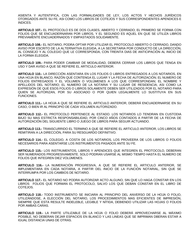ASIENTA Y AUTENTIFICA, CON LAS FORMALIDADES DE LEY, LOS ACTOS Y HECHOS JURÍDICOS OTORGADOS ANTE SU FE, ASI COMO LOS LIBROS DE COTEJOS Y SUS CORRESPONDIENTES APENDICES E INDICES.

**ARTICULO 107.-** EL PROTOCOLO ES DE DOS CLASES, ABIERTO Y CERRADO; EL PRIMERO SE FORMA CON FOLIOS QUE SE ENCUADERNARAN POR LIBROS, Y EL SEGUNDO ES AQUEL EN QUE SE UTILIZA LIBROS PREVIAMENTE ENCUADERNADOS Y EMPASTADOS SOLIDAMENTE.

**ARTICULO 108.-** EL NOTARIO, PODRA OPTAR POR UTILIZAR EL PROTOCOLO ABIERTO O CERRADO, DANDO AVISO POR ESCRITO DE LA ALTERNATIVA ELEGIDA, A LA SECRETARIA POR CONDUCTO DE LA DIRECCIÓN, AL CONSEJO Y AL COLEGIO QUE LE CORRESPONDA, CON TREINTA DIAS DE ANTICIPACIÓN AL INICIO DE LA FORMA ELEGIDA.

**ARTICULO 109.-** PARA PODER CAMBIAR DE MODALIDAD, DEBERÁ CERRAR LOS LIBROS QUE TENGA EN USO Y DAR AVISO A QUE SE REFIERE EL ARTICULO ANTERIOR.

**ARTICULO 110.-** LA DIRECCIÓN ASENTARA EN LOS FOLIOS O LIBROS ENTREGADOS A LOS NOTARIOS, EN UNA HOJA EN BLANCO, RAZÓN QUE CONTENGA EL LUGAR Y LA FECHA DE AUTORIZACIÓN; EL NUMERO DE FOLIOS ENTREGADOS Y EL VOLUMEN O VOLÚMENES A LOS QUE CORRESPONDAN; EL NOMBRE Y APELLIDOS DEL NOTARIO; EL NUMERO DE LA NOTARIA Y SU LUGAR DE RESIDENCIA; ASI COMO LA EXPRESIÓN DE QUE ESOS FOLIOS O LIBROS SOLAMENTE DEBEN SER UTILIZADOS POR EL NOTARIO PARA QUIEN SE AUTORIZAN, POR SU ASOCIADO O POR QUIEN LEGALMENTE LO SUSTITUYA EN SUS FUNCIONES.

**ARTICULO 111.-** LA HOJA A QUE SE REFIERE EL ARTICULO ANTERIOR, DEBERÁ ENCUADERNARSE EN SU CASO, O BIEN IR AL PRINCIPIO DE CADA VOLUMEN AUTORIZADO.

**ARTICULO 112.-** EL PROTOCOLO PERTENECE AL ESTADO. LOS NOTARIOS LO TENDRAN EN CUSTODIA BAJO SU MAS ESTRICTA RESPONSABILIDAD, POR CINCO AÑOS CONTADOS A PARTIR DE LA FECHA DE AUTORIZACIÓN DEL SIGUIENTE LIBRO O JUEGO DE LIBROS PARA SEGUIR ACTUANDO.

**ARTICULO 113.-** TRANSCURRIDO EL TERMINO A QUE SE REFIERE EL ARTICULO ANTERIOR, LOS LIBROS SE REMITIRAN A LA DIRECCIÓN, PARA SU RESGUARDO DEFINITIVO.

**ARTICULO 114.-** EL COLEGIO, A COSTA DE LOS NOTARIOS, LOS PROVEERA DE LOS LIBROS O FOLIOS NECESARIOS PARA ASENTARSE LOS INSTRUMENTOS PASADOS ANTE SU FE.

**ARTICULO 115.-** LOS INSTRUMENTOS, LIBROS Y APENDICES QUE INTEGREN EL PROTOCOLO, DEBERAN SER NUMERADOS PROGRESIVAMENTE. SOLO PODRAN USARSE AL MISMO TIEMPO HASTA EL NUMERO DE FOLIOS QUE INTEGREN DIEZ VOLÚMENES.

**ARTICULO 116.-** LA NUMERACIÓN PROGRESIVA, A QUE SE REFIERE EL ARTICULO ANTERIOR, SE IMPLEMENTARA EN CADA NOTARIA, A PARTIR DEL INICIO DE LA FUNCIÓN NOTARIAL, SIN QUE SE INTERRUMPA POR LOS CAMBIOS DE NOTARIO.

**ARTICULO 117.-** EL NOTARIO NO PODRA AUTORIZAR ACTO ALGUNO, SIN QUE LO HAGA CONSTAR EN LOS LIBROS FOLIOS QUE FORMAN EL PROTOCOLO, SALVO LOS QUE DEBAN CONSTAR EN EL LIBRO DE COTEJOS.

**ARTICULO 118.-** TODO INSTRUMENTO SE INICIARA AL PRINCIPIO DEL ANVERSO DE LA HOJA O FOLIO, UTILIZÁNDOSE, A ELECCIÓN DEL NOTARIO, LOS PROCEDIMIENTOS MAS EFICIENTES DE IMPRESIÓN, SIEMPRE QUE ESTA RESULTE INDELEBLE, LEGIBLE Y NÍTIDA, DEBIENDO UTILIZAR LAS HOJAS O FOLIOS POR AMBAS CARAS.

**ARTICULO 119.-** LA PARTE UTILIZABLE DE LA HOJA O FOLIO DEBERÁ APROVECHARSE AL MÁXIMO POSIBLE, NO DEBERAN DEJAR ESPACIOS EN BLANCO Y LAS LINEAS QUE SE IMPRIMAN DBERAN ESTAR A IGUAL DISTANCIA UNAS DE OTRAS.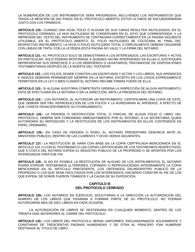LA NUMERACIÓN DE LOS INSTRUMENTOS SERA PROGRESIVA, INCLUYENDO LOS INSTRUMENTOS QUE TENGA LA MENCIÓN DE (NO PASO); EN EL PROTOCOLO ABIERTO, ESTOS ULTIMOS SE ENCUADERNARAN JUNTO CON LOS FIRMADOS.

**ARTICULO 120.-** CUANDO UNA HOJA, FOLIO O ALGUNA DE SUS CARAS RESULTEN INUTILIZADOS, EN EL PROTOCOLO CERRADO, LA HIJA INUTILIZADA SE CONSERVARA EN EL SITIO QUE CORRESPONDA, Y LA IMPRESIÓN DEL TEXTO DEL INSTRUMENTO SE CONTINUARA CORRECTAMENTE EN LA PAGINA SIGUIENTE UTILIZABLE; EN EL PROTOCOLO ABIERTO, EL FOLIO INUTILIZADO SE COLOCARA AL FINAL DEL RESPECTIVO INSTRUMENTO. LA HOJA O FOLIO INUTILIZADO TOTAL O PARCIALMENTE DEBERÁ CRUZARSE CON LINEAS DE TINTA, CON LA LEYENDA (ESTA PAGINA NO VALE) Y LA FIRMA DEL NOTARIO.

**ARTICULO 121.-** EL PROTOCOLO SOLO SE DEMOSTRARA A LOS INTERESADOS. LAS ESCRITURAS Y ACTAS EN PARTICULAR, SOLO PODRAN MOSTRARSE A QUIENES HAYAN INTERVENIDO EN ELLAS O JUSTIFIQUEN REPRESENTAR SUS DERECHOS O A LOS HEREDEROS O LEGATARIOS, TRATÁNDOSE DE DISPOSICIONES TESTAMENTARIAS DESPUÉS DE LA MUERTE DEL TESTADOR.

**ARTICULO 122.-** LOS FOLIOS, DONDE CONSTEN LAS ESCRITURAS Y ACTAS Y LOS LIBROS, SUS APENDICES E INDICES DEBERAN PERMANECER SIEMPRE EN LA NOTARIA, EXCEPTO EN LOS CASOS EXPRESAMENTE PERMITIDOS EN LA LEY O BIEN CUANDO EL NOTARIO RECABE FIRMAS FUERA DE ELLA.

**ARTICULO 123.-** SI ALGUNA AUDITORIA COMPETENTE ORDENA LA INSPECCIÓN DE ALGUN INSTRUMENTO, ESTA SE EFECTUARA EN LA NOTARIA O EN LA DIRECCIÓN, ANTE LA PRESENCIA DEL NOTARIO.

**ARTICULO 124.-** LOS NOTARIOS, AL AUTORIZAR UN INSTRUMENTO, CERTIFICARAN UNA COPIA DE ESTE, QUE DEBERÁ SER FIEL REPRODUCCIÓN DE LOS FOLIOS Y LA AGREGARAN AL APÉNDICE, A EFECTO DE QUE CONSTE FEHACIENTEMENTE SU OTORGAMIENTO.

**ARTICULO 125.-** LA PERDIDA O DESTRUCCIÓN TOTAL O PARCIAL DE ALGUN FOLIO O LIBRO DEL PROTOCOLO, DEBERÁ SER COMUNIDAD INMEDIATAMENTE POR EL NOTARIO, A LA SECRETARIA, QUIEN AUTORIZARA SU REPOSICIÓN Y LA RESTITUCIÓN DE LOS INSTRUMENTOS EN ELLOS CONTENIDOS EN PAPEL ORDINARIO.

**ARTICULO 126.-** EN CASO DE PERDIDA O ROBO, EL NOTARIO PRESENTARA DENUNCIA ANTE EL MINISTERIO PUBLICO, DENTRO DE LAS CUARENTA Y OCHO HORAS SIGUIENTES.

**ARTICULO 127.-** LA RESTITUCIÓN SE HARA CON BASE EN LA COPIA CERTIFICADA MENCIONADA EN EL ARTICULO 124, O CON EL TESTIMONIO O LAS COPIAS CERTIFICADAS DE LOS TESTIMONIOS RESPECTIVOS, QUE A COSTA DEL NOTARIO EXPIDA EL REGISTRO PUBLICO DE LA PROPIEDAD O SE APORTEN POR LOS INTERESADOS PARA ESE FIN.

**ARTICULO 128.-** SI NO ES POSIBLE LA RESTITUCIÓN DE ALGUNO DE LOS INSTRUMENTOS, EL NOTARIO PODRA EXPEDIR TESTIMONIOS ULTERIORES, COPIANDO O REPRODUCIENDO INTEGRAMENTE LA COPIA MENCIONADA EN EL ARTICULO PRECEDENTE, LOS OBTENIDOS DELREGRISTRO PUBLICO DE LA PROPIEDAD O LOS QUE SEAN FACILITADOS POR LOS INTERESADOS, HACIENDO CONSTAR AL PIE DE LOS QUE EXPIDA, DE DONDE FUERON TOMADOS Y LA CAUSA DE SU EXPEDICIÓN.

#### **CAPITULO III DEL PROTOCOLO CERRADO**

**ARTICULO 129.-** LOS NOTARIOS EN EJERCICIO, SOLICITARAN A LA DIRECCIÓN LA AUTORIZACIÓN DEL NUMERO DE LOS LIBROS QUE PASARAN A FORMAR PARTE DE SU PROTOCOLO. NO PODRAN AUTORIZARSE MAS DE DIEZ LIBROS EN CADA OCASIÓN.

LA AUTORIZACIÓN DE LIBROS SE GESTIONARA EN CUALQUIER MOMENTO, DENTRO DE LOS TREINTA DIAS ANTERIORES AL CIERRE DEL PROTOCOLO.

**ARTICULO 130.-** LOS LIBROS DEL PROTOCOLO SERAN UNIFORMES, ENCUADERNADOS SOLIDAMENTE Y CONSTARAN DE TRESCIENTAS PAGINAS NUMERADAS Y DE OTRA AL PRINCIPIO YSIN NUMERAR DESTINADA AL TITULO DE LIBRO.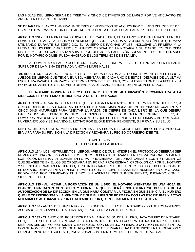LAS HOJAS DEL LIBRO SERAN DE TREINTA Y CINCO CENTÍMETROS DE LARGO POR VEINTICUATRO DE ANCHO, EN SU PARTE UTILIZABLE,

SE DEJARA EN BLANCO UNA FRANJA DE TRES CENTRIMETOS DE ANCHOS POR EL LADO DEL DOBLEZ DEL LIBRO Y OTRA FRANJA DE UN CENTÍMETRO EN LA ORILLA DE LAS HOJAS PARA PROTEGER LO ESCRITO.

**ARTICULO 131.-** EN LA PRIMERA PAGINA UTIL DE CADA LIBRO, EL NOTARIO PONDRA LA RAZON EN QUE CONSTE EL LUGAR Y LA FECHA Y EL NUMERO QUE CORRESPONDA AL VOLUMEN, SEGÚN LOS QUE VAYA UTILIZANDO DURANTE SU EJERCICIO; EL NUMERO DE PAGINAS UTILES, INCLUSIVE LA PRIMERA Y LA ULTIMA; SU NOMBRE Y APELLIDOS Y NUMERO ORDINAL DE LA NOTARIA A SU CARGO; EN QUE DEBA RESIDIR Y ESTE SITUADA LA NOTARIA Y, POR ULTIMO LA EXPRESIÓN SOLAMENTE PUEDE UTILIZARSE POR EL NOTARIO O QUIEN PUEDA HACERLO EN LOS TERMINOS DE ESTA LEY.

AL COMENZAR A HACER USO DE UNA HOJA, SE LE PONDRA EL SELLO DEL NOTARIO EN LA PARTE SUPERIOR DE LA MISMA DESTINADA A NOTAS MARGINALES.

**ARTICULO 132.-** CUANDO EL NOTARIO NO PUEDA DAR CABIDA A OTRO INSTRUMENTO EN EL LIBRO O JUEGOS DE LIBROS QUE TENGA EN USO, ASENTARA EN CADA UNO DE ESTOS, DESPUÉS DE LA ULTIMA ESCRITURA PASADA; UNA RAZON DE TERMINACIÓN DE ESE LIBRO, CON LA EXPRESIÓN DE LA FECHA Y LA HORA DE SU ASIENTO, Y EL NUMERO DE PAGINAS UTILIZADAS E INSTRUMENTOS ASENTADOS.

#### **EL NOTARIO PONDRA SU FIRMA, FECHA Y SELLO DE AUTORIZACIÓN Y COMUNICARA A LA DIRECCIÓN EL CONTENIDO DE DICHA NOTA DE DETERMINACIÓN**

**ARTICULO 133.-** A PARTIR DE LA FECHA QUE SE HAGA LA NOTACIÓN DE DETERMINACIÓN DEL LIBRO, A QUE SE REFIERE EL ARTICULO ANTERIOR, EL NOTARIO DISPONDRA DE UN TERMINO DE CUARENTA Y CINCO DIAS NATURALES PARA ASENTAR LA RAZON DE CIERRE DE CADA LIBRO EN LA QUE DEBERÁ HACER CONSTAR LOS INSTRUMENTOS EXTENDIDOS, EL DIA Y LA HORA EN QUE CIERRE EL LIBRO, ASI COMO LOS INSTRUMENTOS QUE NO PASARON, LOS QUE ESTEN PENDIENTES DE FIRMA O AUTORIZACIÓN, NUMERÁNDOLOS Y SEÑALANDO EL MOTIVO POR EL QUE ESTAN PENDIENTE, SU FIRMA Y SU SELLO.

DENTRO DE LOS CUATRO MESES SIGUIENTES A LA FECHA DEL CIERRE DEL LIBRO, EL NOTARIO LOS ENVIARA PARA SU REVISIÓN A LA DIRECCIÓN Y RECABARA EL RECIBO CORRESPONDIENTE.

#### **CAPITULO IV DEL PROTOCOLO ABIERTO.**

**ARTICULO 134.-** LOS INSTRUMENTOS, LIBROS, APÉNDICE QUE INTEGREN EL PROTOCOLO DEBERAN SER NUMERADOS PROGRESIVAMENTE. LOS FOLIOS DEBERAN UTILIZARSE EN FORMA PROGRESIVAMENTE LOS FOLIOS DEBERAN UTILIZARSE EN FORMA PROGRESIVA POR AMBAS CARAS Y LOS INSTRUMENTOS QUE SE ASIENTE EN ELLOS SE ORDENARAN EN FORMA PROGRESIVA Y CRONOLÓGICA POR EL NOTARIO Y SE ENCUADERNARAN EN LIBROS QUE SE INTEGRARAN POR DOSCIENTOS FOLIOS, EXCEPTO CUANDO EL NOTARIO DEBA ASENTAR UN INSTRUMENTO CON EL CUAL REBASE ESE NUMERO, EN CUYO CASO, PODRA DAR POR TERMINADO EL LIBRO SIN ASENTAR DICHO INSTRUMENTO, INICIANDO CON EL SIGUIENTE LIBRO.

**ARTICULO 135.- AL INICIAR LA FORMACIÓN DE UN LIBRO, EL NOTARIO ASENTARA EN UNA HOJA EN BLANCO, UNA RAZON CON SELLO Y FIRMA, LA QUE DEBERÁ ENCUADERNARSE DESPUÉS DE LA AUTORIZACIÓN DE LA DIRECCIÓN, EN LA QUE HARA CONSTAR LA FECHA EN QUE SE INICIA, EL NUMERO QUE LE CORRESPONDA Y LA MENCION DE QUE EL LIBRO SE FORMARA CON LAS ESCRITURAS Y ACTAS NOTARIALES AUTORIZADAS POR EL NOTARIO O POR QUIEN LEGALMENTE LO SUSTITUYA.**

**ARTICULO 136.-** ANTES DE USAR UN FOLIO, SE PONDRA EL SELLO DEL NOTARIO O LOS DE LOS NOTARIOS ASOCIADOS EN SU ANVERSO, AL LAZO IZQUIERDO Y EN LA PARTE SUPERIOR.

**ARTICULO 137.-** CUANDO CON POSTERIORIDAD A LA INICIACIÓN DE UN LIBRO, HAYA CAMBIO DE NOTARIO, EL QUE LO SUSTITUYA ASENTARA A CONTINUACIÓN DE LA CLAUSURA EXTRAORDINARIA O BIEN, DESPUÉS DEL ULTIMO INSTRUMENTO EXTENDIDO, CON SU SELLO Y FIRMA, UNA RAZON EN ESE SENTIDO CON SU NOMBRE Y APELLIDOS. IGUAL REQUISITO SE OBSERVARA CUANDO SE INICIE UNA ASOCIACIÓN O CUANDO UN NOTARIO SUPLENTE, PROVISIONAL O INTERINO EMPIECE O TERMINE DE ACTUAR.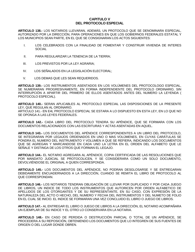### **CAPITULO V DEL PROTOCOLO ESPECIAL**

**ARTICULO 138.-** LOS NOTARIOS LLEVARAN, ADEMÁS, UN PROTOCOLO QUE SE DENOMINARA ESPECIAL, AUTORIZADO POR LA DIRECCIÓN, PARA OPERACIONES EN QUE LOS GOBIERNOS FEDERALES ESTATAL Y LOS MUNICIPIOS SEAN PARTE, EN EL QUE SE CONSIGNARAN LOS ACTOS SIGUIENTES:

- I. LOS CELEBRADOS CON LA FINALIDAD DE FOMENTAR Y CONSTRUIR VIVIENDA DE INTERES **SOCIAL**
- II. PARA REGULARIZAR LA TENENCIA DE LA TIERRA;
- III. LOS PREVISTOS POR LA LEY AGRARIA;
- IV. LOS SEÑALADOS EN LA LEGISLACIÓN ELECTORAL;
- V. LOS DEMAS QUE LES SEAN REQUERIDOS.

**ARTICULO 139.-** LOS INSTRUMENTOS ASENTADOS EN LOS VOLÚMENES DEL PROTOCOLOGO ESPECIAL, SE NUMERARAN PROGRESIVAMENTE, EN FORMA INDEPENDIENTE DEL PROTOCOLO ORDINARIO, SIN INTERRUPCIÓN A APARTIR DEL PRIMERO DE ELLOS ASENTADOS ANTES DEL NUMERO LA LEYENDA ( PROTOCOLO ESPECIAL).

**ARTICULO 140.-** SERAN APLICABLES AL PROTOCOLO ESPECIAL LAS DISPOSICIONES DE LA PRESENTE LEY, QUE REGULAN AL ORDINARIO.

ARTICULO 141.- EN E4L PROTOCOLO ESPECIAL SE ESTARA A LO DISPUESTO EN ESTA LEY, EN LO QUE NO SE OPONGA A LAS LEYES FEDERALES.

**ARTICULO 142.-** CADA LIBRO DEL PROTOCOLO TENDRA SU APÉNDICE, QUE SE FORMARA CON LOS DOCUMENTOS RELACIONADOS CON LAS ESCRITURAS Y ACTAS ASENTADAS EN AQUEL.

**ARTICULO 143.-** LOS DOCUMENTOS DEL APÉNDICE CORRESPONDIENTES A UN LIBRO DEL PROTOCOLO, SE INTEGRARAN POR LEGAJOS ORDENADOS EN UNO O MAS VOLÚMENES, EN CUYAS CARÁTULAS SE PONDRA EL NUMERO DEL INSTRUMENTO Y VOLUMEN A QUE SE REFIERA, INDICANDO LOS DOCUMENTOS QUE SE AGREGAN Y MARCANDOSE EN CADA UNO LA LETRA EN EL ORDEN DEL ALFABETO QUE LE SEÑALE Y DISTINGA DE LOS OTROS QUE FORMAN EL LEGAJO.

**ARTICULO 144.-** EL NOTARIO AGREGARA AL APÉNDICE, COPIA CERTIFICADA DE LAS RESOLUCIONES QUE POR MANDATO JUDICIAL SE PROTOCOLICEN, Y SE CONSIDERARA COMO UN SOLO DOCUMENTO, DEVOLVIÉNDOSE EL ORIGINAL A QUIEN CORRESPONDA.

**ARTICULO 145.-** LOS DOCUMENTOS DEL APÉNDICE, NO PODRAN DESGLOSARSE Y SE ENTREGARAN DEBIDAMENTE ENCUADERNADOS A LA DIRECCIÓN, CUANDO SE REMITA EL LIBRO DE PROTOCOLO AL QUE CORRESPONDAN.

**ARTICULO 146.-** LOS NOTARIOS TENDRAN OBLIGACIÓN DE LLEVAR POR DUPLICADO Y POR CADA JUEGO DE LIBROS, UN INDICE DE TODO LOS INSTRUMENTOS QUE AUTORICEN POR ORDEN ALFABETICO DE APELLIDOS DE LOS OTORGANTES Y DE SU REPRESENTANTE, EN SU CASO, CON EXPRESIÓN DE LA NATURALEZA DEL ACTO O HECHO, DEL NUMERO Y FECHA DEL INSTRUMENTOS Y DEL NUMETO DE FOLIO EN EL CUAL SE INICIO. EL INDICE SE FORMARAN UNA VEZ CONCLUIDO EL LIBRO O JUEGO DE LIBROS.

**ARTICULO 147.-** AL ENTREGAR EL LIBRO O JUEGO DE LIBROS A LA DIRECCIÓN, EL NOTARIO ACOMPAÑARA UN EJEMPLAR DE SU INDICE Y EL OTRO LO CONSERVARA EN LA NOTARIA.

**ARTICULO 148.-** EN CASO DE PERDIDA O DESTRUCCIÓN PARCIAL O TOTAL DE UN APÉNDICE, SE PROCEDERA A SU REPOSICIÓN, OBTENIENDO LOS DOCUMENTOS QUE LO INTEGREN DE SUS FUENTES DE ORIGEN O DEL LUGAR DONDE OBREN.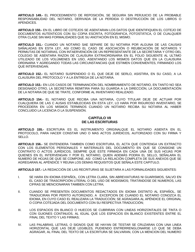**ARTICULO 149.-** EL PROCEDIMIENTO DE REPOSICIÓN, SE SEGUIRA SIN PERJUICIO DE LA PROBABLE RESPONSABILIDAD DEL NOTARIO, DERIVADA DE LA PERDIDA O DESTRUCCIÓN DE LOS LIBROS O APENDICES.

**ARTICULO 150.-** EN EL LIBRO DE COTEJOS SE ASENTARAN LOS DATOS QUE IDENTIFIQUEN EL COTEJO DE DOCUMENTOS AUTENTICOS CON SU COPIA ESCRITA, FOTOGRAFICA, FOTOSTÁTICA, O DE CUALQUIER OTRA CLASE SIN MAS FORMALIDADES QUE SU ANOTACIÓN EN EL MISMO.

**ARTICULO 151.-** CUANDO UN NOTARIO SAE SEPARE DE SU NOTARIA POR ALGUNA DE LAS CAUSAS SAÑALADAS EN ESTA LEY, ASI COMO EL CASO DE ASOCIACIÓN O REUBICACIÓN DE NOTARIOS Y PERMUTAS DE NOTARIAS, CON INTAERVENCIÓN DE UN REPRESENTANTE DE LA SECRETARIA Y OTRO DEL COLEGIO SE ASENTARA RAZON DE CLAUSURA EXTRAORDINARIA EN EL FOLIO SIGUIENTE AL ULTIMO UTILIZADO DE LOS VOLÚMENES EN USO, ASENTANDO LOS MISMOS DATOS QUE EN LA CLAUSURA ORDINARIA Y AGREGANDO TODAS LAS CIRCUNSTANCIAS QUE ESTIMEN CONVENIENTES, FIRMANDO LOS QUE INTERVENGAN.

**ARTICULO 152.-** EL NOTARIO SUSPENDIDO O EL QUE DEJE DE SERLO, ASISTIRA, EN SU CASO, A LA CLAUSURA DEL PROTOCOLO Y A LA ENTREGA DE LA NOTARIA.

**ARTICULO 153.-** EN LOS CASOS DE TERMINANCIÓN DEL NOMBRAMIENTO DE NOTARIO, EN TANTO NO SEA DESIGNADO OTRO, LA SECRETARIA REMITIRA PARA SU GUARDA A LA DIRECCIÓN, LA DOCUMENTACIÓN DE LA NOTARIA DE QUE SE TRATE, CONFORME AL INVENTARIO REALIZADO.

**ARTICULO 154.-** EL NOTARIO QUE RECIBA UNA NOTARIA, CUYO TITULAR DEJE DE ACTUAR POR CUALQUIERA DE LAS C AUSAS ESTABLECIDAS EN ESTA LEY, LO HARA POR RIGUROSO INVENTARIO, SE PROCEDERA EN LOS MISMOS TERMINOS CUANDO UN NOTARIO RECIBA SU NOTARIA AL HABER CONCLUIDO LA LICENCIA O LA SUSPENSIÓN.

#### **CAPITULO VII DE LAS ESCRITURAS**

**ARTICULO 155.-** ESCRITURA ES EL INSTRUMENTO ORIGINALQUE EL NOTARIO ASIENTA EN EL PROTOCOLO, PARA HACER CONSTAR UNO O MAS ACTOS JURÍDICOS, AUTORIZADO CON SU FIRMA Y SELLO.

**ARTICULO 156.-** SE ENTENDERA TAMBIEN COMO ESCRITURA, EL ACTA QUE CONTENGA UN EXTRACTO CON LOS ELEMENTOS PERSONALES Y MATERIALES DEL DOCUMENTO EN QUE SE CONSIGNE UN CONTRATO O ACTOS JURÍDICOS, SIEMPRE QUE ESTE FIRMADA EN CADA UNA DE SUS HOJAS POR QUIENES EN EL INTERVENGAN Y POR EL NOTARIO, QUIEN ADEMÁS PODRA EL SELLO, SEÑALARA EL NUMERO DE HOJAS DE QUE SE COMPONE, ASI COMO LA RELACIÓN COMPLETA DE SUS ANEXOS QUE SE AGREGARAN AL APÉNDICE Y REUNA LOS DEMAS REQUISITOS QUE SEÑALA ESTE CAPITULO.

**ARTICULO 157.-** LA REDACCIÓN DE LAS RECRITURAS SE SUJETARA A LAS FORMALIDADES SIGUIENTES:

- I. SE HARA EN IDIOMA ESPAÑOL, CON LETRA CLARA, SIN ABREVIATURAS NI GUARISMOS, SALVO EN EL CASO DE TRASCRIPCIÓN LITERAL O DEL USO DE MODISMOS; TRATÁNDOSE DE NUMEROS, LAS CIFRAS SE MENCIONARAN TAMBIEN CON LETRA;
- II. CUANDO SE PRESENTEN DOCUMENTOS REDACTADOS EN IDIOMA DISTINTO AL ESPAÑOL, SE TRADUCIRAN POR PERITO AUTORIZADO, A EXCEPCION DE CUANDO EL NOTARIO CONOZCA EL IDIOMA, EN CUYO CASO EL REALIZARA LA TRADUCCIÓN; SE AGRAGARA AL APÉNDICE EL ORIGINAL O COPIA COTEJADA DEL DOCUMENTO CON SU RESPECTIVA TRADUCCIÓN;
- III. LOS ESPACIOS EN BLANCO O HUECOS SE CUBRIRAN CON LINEAS HORIZONTALES DE TINTA O CON GUIONES CONTINUOS, AL IGUAL QUE LOS ESPACIOS EN BLANCO EXISTENTES ENTRE EL FINAL DEL TEXTO Y LAS FIRMAS;
- IV. LAS PALABRAS, LETRAS, O SIGNOS QUE SE HAYAN DE TESTAR SE CRUZARAN CON UNA LINEA HORIZONTAL QUE LAS DEJE LEGIBLES, PUDIENDO ENTRERRENGLONARSE LO QUE SE DEBA AGRAGAR, AL FINAL DEL TEXTO DE LA ESCRITURA SE SALVARAN, CON LA MENCION DEL NUMERO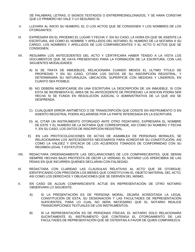DE PALABRAS, LETRAS, O SIGNOS TESTADOS O ENTRERRESNGLONADOS, Y SE HARA CONSTAR QUE LO PRIMERO NO VALE Y LO SEGUNDO SI;

- V. LLEVARA AL INICIO SU NUMERO, EL O LOS ACTOS QUE SE CONSIGNEN Y LOS NOMBRES DE LOS OTORGANTES;
- VI. EXPRESARA EN EL PROEMIO EL LUGAR Y FECHA Y, EN SU CASO, LA HORA EN QUE SE ASIENTE LA ESCRITURA, ASI COMO EL NOMBRE Y APELLIDOS DEL NOTARIO, EL NUMERO DE LA NOTARIA A SU CARGO, LOS NOMBRES Y APELLIDOS DE LOS COMPARECIENTES Y EL ACTO O ACTOS QUE SE CONSIGNEN;
- VII. RESUMIRA LOS ANTECEDENTES DEL ACTO Y CERTIFICARA HABER TENIDO A LA VISTA LOS DOCUMENTOS QUE SE HAYA PRESENTADO PARA LA FORMACIÓN DE LA ESCRITURA, CON LAS SIGUIENTES MODALIDADES:
	- A) SI SE TRATA DE INMUEBLES, RELACIONARA CUANDO MENOS EL ULTIMO TITULO DE PROPIEDAD Y EN SU CASO, CITARA LOS DATOS DE SU INSCRIPCIÓN REGISTRAL, Y DETERMINARA SU NATURALEZA, UBICACIÓN, SUPERFICIE CON MEDIDAS Y LINDEROS, EN CUANTO SEA POSIBLE.
	- B) NO DEBERÁ MODIFICARSE EN UNA ESCRITURA LA DESCRIPCIÓN DE UN INMUEBLE, SI CON ESTA SE INCREMENTA EL AREA DE SU ANTECEDENTE DE PROPIEDAD. LA ADICION PODRA SER HECHA SI SE FUNDA EN RESOLUCIÓN JUDICIAL O ADMINISTRATIVA DE LA QUE ASI SE DESPRENDA.
	- C) CUALQUIER ERROR ARITMÉTICO O DE TRANSCRIPCIÓN QUE CONSTE EN INSTRUMENTO O EN ASIENTO REGISTRAL PODRA ACLARARSE POR LA PARTE INTERESADA EN LA ESCRITURA.
	- D) AL CITAR UN INSTRUMENTO OTORGADO ANTE OTRO FEDATARIO, EXPRESARA EL NOMBRE DE ESTE Y EL NUMERO DE LA NOTARIA QUE CORRESPONDE, ASI COMO SU NUMERO Y FECHA Y, EN SU CASO, LOS DATOS DE INSCRIPCIÓN REGISTRAL.
	- E) EN LAS PROTOCOLIZACIONES DE ACTAS DE ASAMBLEA DE PERSONAS MORALES, SE RELACIONARAN LOS ANTECEDENTES NECESARIOS PARA ACREDITAR SU CONSTITUCIÓN, ASI COMO LA VALIDEZ Y EFICACIA DE LOS ACUERDOS TOMADOS DE CONFORMIDAD CON SU REGIMEN LEGAL Y ESTATUTOS.
- VIII. REDACTARA ORDENADAMENTE LAS DECLARACIONES DE LOS COMPARECIENTES, QUE SERAN SIEMPRE HECHAS BAJO PROTESTA DE DECIR LA VERDAD; EL NOTARIO LOS APERCIBIRA DE LAS PENAS EN QUE INCURREN QUIENES DECLARAN CON FALSEDAD;
- IX. REDACTARA CON CLARIDAD LAS CLAUSULAS RELATIVAS AL ACTO QUE SE OTORGUE; IDENTIFICANDO CON PRECISION LOS BIENES QUE CONSTITUYAN EL OBJETO MATERIAL DEL ACTO, ASI COMO LOS DERECHOS Y OBLIGACIONES QUE SE DERIVEN DEL MISMO;
- X. EN CASO DE ALGUN COMPARECIENTE ACTUE EN REPRESENTACIÓN DE OTRO NOTARIO OBSERVARA LO SIGUIENTE:
	- A) SI LA PRESENTACIÓN ES DE PERSONA MORAL, DEJARA ACREDITADA LA LEGAL CONSTITUCIÓN DE ESTA, SU DESIGNACIÓN Y LAS FACULTADES DE REPRESENTACIÓN SUFICIENTES, PARA LO CUAL NO SERA NECESARIO QUE EL NOTARIO REALICE TRANSCRIPCIONES TEXTUALES DE LOS INSTRUMENTOS.
	- B) SI LA REPRESENTACIÓN ES DE PERSONAS FÍSICAS, EL NOTARIO SOLO RELACIONARA SUCINTAMENTE EL INSTRUMENTO QUE CONTENGA EL OTORGAMIENTO DE LAS FACULTADES DE REPRESENTACIÓN QUE SE OSTENTAN A FAVOR DE QUIEN COMPAREZCA.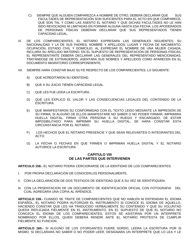- C) SIEMPRE QUE ALGUIEN COMPAREZCA A NOMBRE DE OTRO, DEBERÁ DECLARAR QUE SUS FACULTADES DE REPRESENTACIÓN SON SUFICIENTES PARA EL ACTO EN QUE COMPARECE, QUE SON TAL Y COMO LAS ASENTO EL NOTARIO Y QUE DICHAS FACULTADES NO LE HAN SIDO REVOCADAS NI LIMITADAS EN FORMAR ALGUNA HASTA ESA FECHA. LOS APODERADOS DE PERSONAS FÍSICAS DEBERAN DECLARAR QUE SUS REPRESENTADOS TIENEN CAPACIDAD LEGAL.
- XI. DE LOS COMPARECIENTES, EL NOTARIO EXPRESARA LAS GENERALES SIGUIENTES: SU NACIONALIDAD Y LA DE SUS PADRES, NOMBRE Y APELLIDOS, LUGAR Y FECHA DE NACIMIENTO, OCUPACIÓN, ESTADO CIVIL Y DOMICILIO. AL EXPRESAR EL NOMBRE DE UNA MUJER CASADA, INCLUIRA SU APELLIDO MATERNO. EN EL SUPUESTO DE REPRESENTACIÓN DE PERSONAS FÍSICAS, EL REPRESENTANTE DEBERÁ DECLARAR LAS GENERALES DEL REPRESENTADO MENCIONADAS. TRATÁNDOSE DE EXTRANJEROS, ASENTARA SUS NOBRES Y APELLIDOS COMO APARECEN EN EL DOCUMENTO MIGRATORIO CORRESPONDIENTE;
- XII. SIEMPRE HARA CONSTAR BAJO SU FE RESPECTO DE LOS COMPARECIENTES, LO SIGUIENTE:
	- A) QUE ACREDITARON SU IDENTIDAD.
	- B) QUE A SU JUICIO TIENEN CAPACIDAD LEGAL.
	- C) QUE LES FUE LEIDA LA ESCRITURA.
	- D) QUE LES EXPLICO EL VALOR Y LAS CONSECUENCIAS LEGALES DEL CONTENIDO DE LA ESCRITURA.
	- E) QUE MANIFESTARON SU CONFORMIDAD CON EL TEXTO LEIDO MEDIANTE LA IMPRESIÓN DE SU FIRMA; SI ALGUNO DE ELLOS MANIFESTARE NO SABER O NO PODER FIRMAR, IMPRIMIRA HUELLA DIGITAL, FIRMA OTRA PERSONA A SU RUEGO Y ENCARGADO, DE ESTAR IMPOSIBILITADO PARA IMPRIMIR SU HUELLA DIGITAL, SE HARA CONSTAR ESTA CIRCUNSTANCIA POR EL NOTARIO.
	- F) LOS HECHOS QUE EL NOTARIO PRESENCIE Y QUE SEAN RELEVANTES O INTEGRANTES DEL ACTO.
	- G) LA FECHA O FECHAS EN QUE FIRMEN O IMPRIMAN HUELLA DIGITAL Y EL NOTARIO AUTORICE LA ESCRITURA.

# **CAPITULO VIII DE LAS PARTES QUE INTERVIENEN**

**ARTICULO 158.-** EL NOTARIO PODRA CERCIORARSE DE LA IDENTIDAD DE LOS COMPARECIENTES:

- I. POR PROPIA DECLARACIÓN DE CONOCERLOS PERSONALMENTE,
- II. CON LA DECLARACIÓN DE DOS TESTIGOS DE IDENTIDAD QUE A SU VEZ SE IDENTIFIQUEN;
- III. CON LA PRSENTACION DE UN DOCUMENTO DE IDENTIFICACIÓN OFICIAL CON FOTOGRAFIA DEL CUAL AGREGARA UNA COPIA AL APÉNDICE.

**ARTICULO 159.-** CUANDO SE TRATE DE COMPARECIENTES QUE NO HABLEN NI ENTIENDAN EL IDIOMA ESPAÑOL, EL NOTARIO PODRA AUTORIZAR EL INSTRUMENTO SI CONOCE EL IDIOMA DE AQUELLO, HACIENDO CONSTAR QUE LES HA TRADUCIDO VERBALMENTE SU CONTENIDO Y QUE SU VOLUNTAD QUEDA REFLEJADA FIELMENTE EN EL INSTRUMENTO. EN EL SUPUESTO DE QUE EL NOTARIO NO CONOZCA EL IDIOMA DE LOS COMPARECIENTES, ESTOS SE ASISTIRAN POR UN INTERPRETE NOMBRADO POR ELLOS, QUIEN DEBERÁ RENDIR ANTE EL NOTARIO PROTESTA DE CUMPLIR FIELMENTE SU FUNCION.

**ARTICULO 160.-** SI ALGUNO DE LOS OTORGANTES FUERE SORDO, LEERA LA ESCRITURA POR SI MISMO. SI DECLARARA NO SABER O NO PODER LEER, DESIGNARA UN INTERPRETE QUE LO LEA Y LE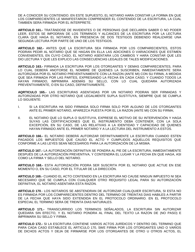DE A CONOCER SU CONTENIDO. EN ESTE SUPUESTO, EL NOTARIO HARA CONSTAR LA FORMA EN QUE LOS COMPARECIENTES LE MANIFESTARON COMPRENDER EL CONTENIDO DE LA ESCRITURA, LA CUAL TAMBIEN SERA FIRMADA POR EL INTERPRETE.

**ARTICULO 161.-** TRATÁNDOSE DE INVIDENTES O DE PERSONAS QUE DECLAREN SABER O NO PODER LEER, ESTOS SE IMPODRAN DE LOS TERMINOS Y ALCANCES DE LA ESCRITURA POR LA LECTURA CLARA QUE HAGA EL NOTARIO, EN PRESENCIA DE DOS TESTIGOS DEBIENDO REALIZARSE UNA SEGUNDA LECTURA POR PARTE DE UNO DE LOS TESTIGOS.

**ARTICULO 162.-** ANTES QUE LA ESCRITURA SEA FIRMADA POR LOS COMPARECIENTES, ESTOS PODRAN PEDIR AL NOTARIO QUE SE HAGAN EN ELLA LAS ADICIONES O VARIACIONES QUE ESTIMEN CONVENIENTES, EN CUYO CASO, EL NOTARIO ASENTARA LOS CAMBIOS Y HARA CONSTAR QUE LES DIO LECTURA Y QUE LES EXPLICO LAS CONSECUENCIAS LEGALES DE TALES MODIFICACIONES.

**ARTICULO 163.-** FIRMADA LA ESCRITURA POR LOS OTORGANTES Y DEMAS COMPARECIENTES, PARA LO CUAL DEBERÁ ANOTORSE EL NOMBRE DE QUIENES LA SUSCRIBEN, INMEDIATAMENTE SERA AUTORIZADA POR EL NOTARIO PREVENTIVAMENTE CON LA RAZON (ANTE MI) CON SU FIRMA, A MEDIDA QUE SEA FIRMADA POR LAS PARTES, EXPRESANDO LA FECHA EN CADA CASO; Y CUANDO TODOS LA HAYAN FIRMADO, IMPRIMIRA ADEMÁS SU SELLO, CON LO CUAL QUEDARA AUTORIZADA PREVENTIVAMENTE, O EN SU CASO, DEFINITIVAMENTE.

**AQRTICULO 165.-** LAS ESCRITURAS ASENTADAS POR UN NOTARIO PODRAN SER FIRMADAS Y AUTORIZADAS POR OTRO NOTARIO QUE LEGALMENTE SUPLA SUSTITUYA, SIEMPRE QUE SE CUMPLA LO SIGUIENTE:

- I. SI LA ESCRITURA HA SIDO FIRMADA SOLO FIRMA SOLO POR ALGUNO DE LOS OTORGANTES ANTE EL PRIMER NOTARIO, APAREZCA PUESTA POR EL LA RAZON (ANTE MI) CON SU FIRMA;
- II. EL NOTARIO QUE LO SUPLA O SUSTITUYA, EXPRESE EL MOTIVO DE SU INTERVENCIÓN Y HAGA SUYAS LAS CERTIFICACIONES QUE EL INSTRUMENTO DEBA CONTENER, CON LA SOLA EXCEPCIÓN, EN SU CASO, DE LAS RELATIVAS A LA IDENTIDAD Y CAPACIDAD DE QUIENES HAYAN FIRMADO ANTE EL PRIMER NOTARIO Y A LA LECTURA DEL INSTRUMENTO A ESTOS.

**ARTICULO 166.-** EL NOTARIO DEBERÁ AUTORIZAR DEFINITIVAMENTE LA ESCRITURA CUANDO ESTEN PAGADOS LOS IMPUESTOS QUE CAUSO EL ACTO Y CUMPLIDOS AQUELLOS REQUISITOS QUE CONFORME A LAS LEYES SEAN NECESARIOS PARA LA AUTORIZACIÓN DE LA MISMA.

**ARTICULO 167.-** LA AUTORIZACIÓN DEFINITIVA SE PONDRA AL PIE DE LA ESCRITURA, INMEDIATAMENTE DESPUÉS DE LA AUTORIZACIÓN PREVENTIVA, Y CONTENDRA EL LUGAR Y LA FECHA EN QUE HAGA, ASI COMO LA FIRMA Y SELLO DEL NOTARIO.

**ARTICULO 168.-** ESTA AUTORIZACIÓN PODRA SER SUSCRITA POR EL NOTARIO QUE ACTUE EN ESE MOMENTO O, EN SU CASO, POR EL TITULAR DE LA DIRECCIÓN.

**ARTICULO 169.-** CUANDO EL ACTO CONTENIDO EN LA ESCRITURA NO CAUSE NINGUN IMPUESTO NI SEA NECESARIO QUE SE CUMPLA CON CUALQUIER OTRO REQUISITO LEGAL PARA SU AUTORIZACIÓN DEFINITIVA, EL NOTARIO ASENTARA ESTA RAZON.

**ARTICULO 170**.- LOS NOTARIOS SE ABSTENDRAN DE AUTORIZAR CUALQUIER ESCRITURA, SI ESTA NO ES FIRMADA POR LOS COMPARECIENTES DENTRO DEL TERMINO DE TREINTAS DIAS HABILES A PARTIR DE LA FECHA QUE HAYA SIDO EXTENDIDA EN EL PROTOCOLO ORDINARIO. EN EL PROTOCOLO ESPECIAL EL TERMINO SERA DE TREINTA DIAS NATURALES.

**ARTICULO 171.-** TRANSCURRIDO LOS TERMINOS SEÑALADOS, LA ESCRITURA SIN AUTORIZAR QUEDARA SIN EFECTO, Y EL NOTARIO PONDRA AL FINAL DEL TEXTO LA RAZON DE (NO PASO) E IMPRIMARA SU SELLO Y FIRMA.

**ARTICULO 172.-** SI LA ESCRITURA CONTIENE VARIOS ACTOS JURÍDICOS Y DENTRO DEL TERMINO QUE PARA CADA CASO ESTABLECE EL ARTICULO 170, SWE FIRMA POR LOS OTORGANTES UNO O VARIOS DE DICHOS ACTOS Y DEJA DE FIRMARSE POR LOS OTORGANTES DE OTRO U OTROS ACTOS, EL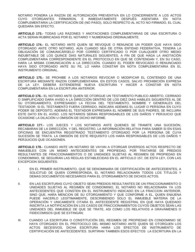NOTARIO PONDRA LA RAZON DE AUTORIZACIÓN PREVENTIVA EN LO CONCERNIENTE A LOS ACTOS CUYO OTORGANTES FIRMARON, E INMEDIATAMENTE DESPUÉS ASENTARA EN NOTA COMPLEMENTARIA LA CERTIFICACIÓN DE (NO PASO), SOLO RESPECTO AL ACTO NO FIRMADO, EL CUAL QUEDARA SIN EFECTO.

**ARTICULO 173.-** TODAS LAS RAZONES Y ANOTACIONES COMPLEMENTARIAS DE UNA ESCRITURA O ACTA SERAN RUBRICADAS POR EL NOTARIO Y NUMERADAS ORDINALMENTE.

**ARTICULO 174.-** EL NOTARIO ANTE QUIEN SE REVOQUE O RENUNCIE UN PODER QUE HAYA SIDO OTORGADO ANTE OTRO NOTARIO, AUN CUANDO SEA DE OTRA ENTIDAD FEDERATIVA, TENDRA LA OBLIGACIÓN DE COMUNICÁRSELO POR CORREO CERTIFICADO O POR CUALQUIER OTRO MEDIO INDUBITABLE DE LOS QUINCE DIAS NATURALES SIGUIENTES, A FIN DE QUE HAGA LA ANOTACIÓN COMPLEMENTARIA CORRESPONDIENTE EN EL PROTOCOLO EN QUE SE CONTENGAN Y, EN SU CASO, HARA LA MISMA COMUNICACIÓN A LA DIRECCIÓN. CUANDO EL PODER REVOCADO O RENUNCIADO HAYA SIDO OTORGADO ANTE SU FE, LO HARA CONSTAR EN NOTA COMPLEMENTARIA EN EL INSTRUMENTO ORIGINAL.

**ARTICULO 175.-** SE PROHIBE A LOS NOTARIOS REVOCAR O MODIFICAR EL CONTENIDO DE UNA ESCRITURA MEDIANTE RAZON COMPLEMENTARIA. EN ESTOS CASOS, SALVO PROHIBICIÓN EXPRESA DE LA LEY, DEBERÁ EXTENDERSE NUEVA ESCRITURA Y HACER A CONSTAR EN NOTA COMPLEMENTARIA EN LA ESCRITURA ANTERIOR.

**ARTICULO 176.-** EL NOTARIO ANTE QUIEN SE OTORGUE UN TESTAMENTO PUBLICO ABIERTO, CERRADO O SIMPLIFICADO DARA AVISO A LA DIRECCIÓN DENTRO DE LOS DIEZ DIAS HABILES SIGUIENTES AL DE SU OTORGAMIENTO, EXPRESANDO LA FECHA DEL TESTAMENTO, NOMBRE Y GENERALES DEL TESTADOR; SI EL TESTAMENTO FUERA CERRADO, INDICARA ADEMÁS EL LUGAR O PERSONA EN CUYO PODER SE DEPOSITO; ADEMÁS EL TESTADOR EXPRESARA EL NOMBRE DE SUS PADRES, SE INCLUIRA ESTE DATO EN EL AVISO. LOS NOTARIOS SERAN RESPONSABLES DE LOS DAÑOS Y PERJUICIO QUE OCASIONE LA DILACIÓN U OMISIÓN DE DICHO INFORME.

**ARTICULO 177.-** LOS JUECES Y LOS NOTARIOS ANTE QUIENES SE TRAMITE UNA SUCESIÓN, RECABARAN DE LA DIRECCIÓN, Y DEL REGISTRO, LA INFORMACIÓN RELATIVA PARA SABER SI EN ESAS OFICINAS SE ENCUENTRA REGISTRADO TESTAMENTO OTORGADO POR LA PERSONA DE CUYA SUCESIÓN SE TRATA. LA OMISIÓN DE ESTE REQUISITO LOS HARA RESPONSABLES DE LOS DAÑOS Y PERJUICIOS QUE OCASIONEN.

**ARTICULO 178.-** CUANDO ANTE UN NOTARIO SE VAYAN A OTORGAR DIVERSOS ACTOS RESPECTO DE INMUEBLES CON UN MISMO ANTECEDENTES DE PROPIEDAD, POR TRATARSE DE PREDIOS RESULTANTES DE FRACCIONAMIENTOS O DE UNIDADES SUJETAS AL REGIMEN DE PROPIEDAD EN CONDOMINIO, SE SEGUIRAN LAS REGLAS ESTABLECIDAS EN EL ARTICULO 157, DE ESTA LEY, CON LAS EXCEPCION SIGUIENTES:

- I. EN EL PRIMER INSTRUMENTO, QUE SE DENOMINARA DE CERTIFICACIÓN DE ANTECEDENTES, A SOLICITUD DE QUIEN CORRESPONDA, EL NOTARIO RELACIONARA TODOS LOS TITULOS Y DEMAS DOCUMENTOS NECESARIOS PARA EL OTORGAMIENTO DE DICHOS ACTOS.
- II. EN LAS ESCRITURAS CUYO OBJETO SEAN PREDIOS RESULTANTES DE UN FRACCIONAMIENTO O UNIDADES SUJETAS AL REGIMEN DE CONDOMINIO, EL NOTARIO NO RELACIONARA YA LOS ANTECEDENTES QUE CONSTEN EN EL INSTRUMENTO INDICADO EN LA FRACCION ANTERIOR, SINO QUE, HARA MENCION DE SU OTORGAMIENTO Y QUE CONFORME A EL, QUIEN ENAJENA PUEDE HACERLO LEGÍTIMAMENTE, DESCRIBIENDO SOLO EL INMUEBLE MATERIA DE LA OPERACIÓN Y UNICAMENTE CITARA EL ANTECEDENTE REGISTRAL EN QUE HAYA QUEDADO INSCRITA LA NOTIFICACIÓN EN LOS CASOS DE FRACCIONAMIENTOS CUYOS OBJETOS SEAN LAS UNIDADES DEL INMUEBLE DE QUE SE TRATE, ASI COMO LOS RELATIVOS A GRAVÁMENES O FIDEICOMISOS QUE SE EXTINGAN;
- III. CUANDO LA ESCRITURA O CONSTITUCIÓN DEL REGIMEN DE PROPIEDAD EN CONDOMINIO SE HAYA OTORGADO EN EL PROTOCOLO DEL MISMO NOTARIO ANTE QUIEN SE OTORGUEN LOS ACTOS SECESIVOS, DICHA ESCRITURA HARA LOS EFECTOS DE INSTRUMENTO DE CERTIFICACIÓN DE ANTECEDENTES. SURTIRAN TAMBIEN ESOS EFECTOS LA ESCRITURA EN LA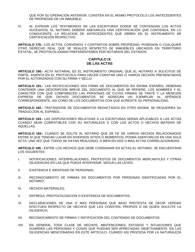QUE POR SU OPERACIÓN ANTERIOR, CONSTEN EN EL MISMO PROTOCOLO LOS ANTECEDENTES DE PROPIEDAD DE UN INMUEBLE;

IV. AL EXPEDIR LOS TESTIMONIOS DE LAS ESCRITURAS DONDE SE CONTENGAN LOS ACTOS SUCESIVOS, EL NOTARIO DEBERÁ ANEXARLES UNA CERTIFICACIÓN QUE CONTENGA, EN LO CONDUCENTE, LA RELACION DE ANTECEDENTES QUE OBREN EN EL INSTRUMENTO DE CERTIFICACIÓN RESPECTIVO.

**ARTICULO 179.-** LOS ACTOS, CONVENIOS Y CONTRATOS SOBRE PROPIEDAD, POSESION O CUALQUIER OTRO DERECHO REAL QUE SE REALICE RESPECTO DE INMUEBLES UBICADOS EN TERRITORIO ESTATAL, SE PROTOCOLIZARAN PREFERENTEMEN POR NOTARIOS DEL ESTADOS.

#### **CAPITULO IX DE LAS ACTAS**

**ARTICULO 180.-** ACTA NOTARIAL ES EL INSTRUMENTO ORIGINAL QUE EL NOTARIO A SOLICITUD DE PARTE, ASIENTA EN EL PROTOCOLO PARA HACER CONSTAR UNO O VARIOS HECHOS PRESENCIADOS POR EL AUTORIZADOS CON SU FIRMA Y SELLO.

**ARTICULO 181.-** LAS RATIFICACIONES DE4 FIRMA DE DOCUMENTOS EN IDIOMA ESPAÑOL DEBERAN CONTENER UNA DESCRIPCIÓN BREVE DEL DOCUMENTO AL QUE SE REFIERE, LOS NOMBRES Y EL CARÁCTER CON QUE COMPARECEN LAS PERSONAS DE CUYAS FIRMAS SE TRATE Y LA MENCION EXPRESA DE QUE DICHOS DOCUMENTOS SE AGREGAN UN EJEMPLAR AL APÉNDICE CORRESPONDIENTE, ASI COMO DE LOS DOCUMENTOS CON QUE ACREDITE SU PERSONALIDAD.

**ARTICULO 182.-** TRATÁNDOSE DE DOCUMENTOS REDACTADOS EN OTRO IDIOMA, SE REQUERIRA SU TRADUCCIÓN AL ESPAÑOL.

**ARTICULO 183.-** LAS DISPOSICIONES RELATIVAS A LA ESCRITURAS SERAN APLICABLES A LAS ACTAS CUANDO SEAN COMPATIBLES CON SU NATURALEZA O CON LOS ACTOS O HECHOS MATERIA DE AQUELLAS.

**ARTICULO 184.-** CUANDO SE SOLITE AL NOTARIO QUE DE FE DE VARIOS HECHOS RELACIONADOS ENTRE SI QUE TENGAN LUGAR EN DIVERSOS SITIOS O MOMENTOS, PODRA ASENTARLOS EN UNA SOLA ACTA, UNA VEZ QUE TODOS SE HAYAN REALIZADO, O BIEN EN DOS O MAS ACTAS CORRELACIONADAS.

**ARTICULO 185.-** ENTRE LOS HECHOS QUE DEBE CONSIGNAR EN ACTAS EL NOTARIO, SE ENCUENTRAN LOS SIGUIENTES:

- I. NOTIFICACIONES, INTERPELACIONES, PROTESTOS DE DOCUMENTOS MERCANTILES Y OTRAS DILIGENCIAS EN LAS QUE PUEDA INTERVENIR, SEGUN LAS LEYES;
- II. EXISTENCIA E IDENTIDAD DE PERSONAS;
- III. RECONOCIMIENTO DE FIRMAS EN DOCUMENTOS POR PERSONAS IDENTIFICADAS POR EL NOTARIO;
- IV. HECHOS MATERIALES;
- V. ENTREGA, PROTOCOLIZACION O EXISTENCIA DE DOCUMENTOS;
- VI. DECLARACIONES DE UNA O MAS PERSONAS QUE BAJO PROTESTA DE DECIR VERDAD EFECTÚEN RESPECTO DE HECHOS QUE LES CONSTEN, PROPIOS O DE QUIEN SOLICITE LA DILIGENCIA;
- VII. RECONOCIMIENTO DE FIRMAS Y RATIFICACIÓN DEL CONTENIDO DE DOCUMENTOS;
- VIII. EN GENERAL TODA CLASE DE HECHOS, ABSTENCIONES, ESTADOS Y SITUACIONES QUE GUARDEN LAS PERSONAS Y COSAS QUE PUEDAN SER APRECIADAS OBJETIVAMENTE. EN LAS DILIGENCIAS MENCIONADAS EN ESTE ARTICULO, CUANDO ASI PROCEDA POR LA NATURALEZA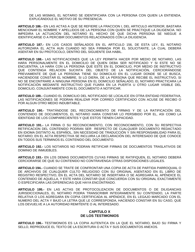DE LAS MISMAS, EL NOTARIO SE IDENTIFICARA CON LA PERSONA CON QUIEN LA ENTIENDA, EXPLICÁNDOLE EL MOTIVO DE SU PRESENCIA.

**ARTICULO 186.-** EN LAS ACTAS A QUE SE REFIERE LA FRACCION I, DEL ARTICULO ANTERIOR, BASTARA MENCIONAR EL NOMBRE Y APELLIDOS DE LA PERSONA CON QUIEN SE PRACTIQUE LA DILIGENCIA. NO IMPEDIRA LA ACTUACIÓN DEL NOTARIO EL HECHO DE QUE DICHA PERSONA SE NIEGUE A IDENTIFICARSE O A PERCIBIR DOCUMENTOS RELACIONADOS CON LA DILIGENCIA.

**ARTICULO 187.-** EN LOS CASOS SEÑALADOS EN EL ARTICULO 156, DE ESTA LEY, EL NOTARIO AUTORIZARA EL ACTA AUN CUANDO NO SEA FIRMADA POR EL SOLICITANTE, LA CUAL DEBERÁ ASENTAR EN SU PROTOCOLO, DENTRO DEL SIGUIENTE DIA HABIL.

**ARTICULO 188.-** LAS NOTIFICACIONES QUE LA LEY PERMITA HACER POR MEDIO DE NOTARIO, LAS HARA PERSONALMENTE EN EL DOMICILIO DE QUIEN DEBA SER NOTIFICADO Y SI ESTE NO SE ENCUENTRA, LA HARA CON LA PERSONA QUE ESTE EN EL DOMICILIO, POR MEDIO DE INSTRUCTIVO QUE CONTENGA RELACION SUCINTA DEL OBJETO DE LA NOTIFICACIÓN, CERCIORÁNDOSE PREVIAMENTE DE QUE LA PERSONA TIENE SU DOMICILIO EN EL LUGAR DONDE SE LE BUSCA, HACIENDOSE CONSTAR EL NOMBRE, SI LO DIERA, DE LA PERSONA QUE RECIBE EL INSTRUCTIVO, SI NO SE ENCONTRARE A NINGUNA PERSONA EN EL DOMICILIO SEÑALADO, EL NOTARIO PRACTICARA LA NOTIFICACIÓN MEDIANTE INSTRUCTIVO QUE FIJARA EN LA PUERTA U OTRO LUGAR VISIBLE DEL DOMICILIO, CONJUNTAMENTE CON EL DOCUMENTO A NOTIFICAR.

**ARTICULO 189.-** CUANDO EL DOMICILIO DEL NOTIFICADO SE LOCALICE EN OTRA ENTIDAD FEDERATIVA, LAS NOTIFICACIONES SE PODRAN REALIZAR POR CORREO CERTIFICADO CON ACUSE DE RECIBO O POR ALGUN OTRO MEDIO INDUBITABLE.

**ARTICULO 190.-** TRATÁNDOSE DEL RECONOCIMIENTO DE FIRMAS Y DE LA RATIFICACIÓN DEL CONTENIDO DE DOCUMENTOS, EL NOTARIO HARA CONSTAR LO PERSIBIDO POR EL, ASI COMO LA IDENTIDAD DE LOS COMPARECIENTES Y QUE ESTOS TIENEN CAPACIDAD.

**ARTICULO 191.-** LA FIRMA O SU RECONOCIMIENTO, CON RECONOCIMIENTO, CON SU RESPECTIVA RETIFICACION DEL CONTENIDO PODRAN SER RESPECTO DE CUALQUIER DOCUMENTO REDACTADO EN IDIOMA DISTINTO AL ESPAÑOL, SIN NECESIDAD DE TRADUCCIÓN Y SIN RESPONSABILIDAD PARA EL NOTARIO; EN EL ACTA RESPECTIVA SE INCLUIRA LA DECLARACIÓN DEL INTERESADO DE QUE CONOCE EN TODOS SUS TERMINOS EL CONTENIDO DEL DOCUMENTO.

**ARTICULO 192.-** LOS NOTARIOS NO PODRAN RETIFICAR FIRMAS DE DOCUMENTOS TRASLATIVOS DE DOMINIO DE INMUEBLES.

**ARTICULO 193.-** EN LOS DEMAS DOCUMENTOS CUYAS FIRMAS SE RATIFIQUEN, EL NOTARIO DEBERÁ CERCIORARSE DE QUE SU CONTENIDO NO CONTRAVENGA OTRAS DISPOSICIONES LEGALES.

**ARTICULO 194.-** CUANDO SE TRATE DE CONFRONTAR UNA COPIA DE ACTA DE PARTIDA PARROQUIAL O DE ARCHIVOS DE CUALQUIER CULTO RELIGIOSO CON SU ORIGINAL ASENTADO EN EL LIBRO DE REGISTRO RESPECTIVO, EN EL ACTA DEL NOTARIO SE INSERTARA O SE AGREGARA AL APÉNDICE EL CONTENIDO DE AQUELLA, Y ESTE HARA CONSTAR QUE CONCUERDA CON SU ORIGINAL EXACTAMENTE O ESPECIFICARA LAS DIFERENCIAS QUE HAYA ENCONTRADO.

**ARTICULO 195.-** EN LAS ACTAS DE PROTOCOLIZACION DE DOCUMENTOS O DE DILIGANCIAS JURISDICCIONALES, EL NOTARIO PODRA TRANSCRIBIR INTEGRAMENTE SU CONTENIDO, LA PARTE RELATIVA O LOS AGREGARA EN COPIA CERTIFICADA AL APÉNDICE, EN EL LEGAJO MARCADO CON EL NUMERO DEL ACTA Y BAJO LA LETRA QUE LE CORRESPONDA, HACIENDO CONSTAR EN SU CASO, QUE LOS DEVUELVE A LA AUTORIDAD REMITENTE O AL INTERESADO.

#### **CAPITULO X DE LOS TESTIMONIOS**

**ARTICULO 196.-** TESTIMONIOS ES LA COPIA AUTENTICA EN LA QUE EL NOTARIO, BAJO SU FIRMA Y SELLO, REPRODUCE EL TEXTO DE LA ESCRITURA O ACTA Y SUS DOCUMENTOS ANEXOS.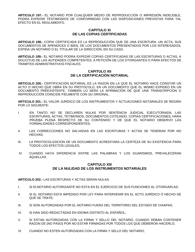**ARTICULO 197.-** EL NOTARIO POR CUALQUIER MEDIO DE REPRODUCCIÓN O IMPRESIÓN INDELEBLE, PODRA EXPEDIR TESTIMONIOS DE CONFORMIDAD CON LAS DISPOSICIONES PREVISTAS PARA TAL EFECTO EN EL REGLAMENTO.

#### **CAPITULO XI DE LAS COPIAS CERTIFICADAS**

**ARTICULO 198.-** COPIA CERTIFICADA ES LA REPRODUCCIÓN QUE DE UNA ESCRITURA, UN ACTA, SUS DOCUMENTOS DE APENDICES O BIEN, DE LOS DOCUMENTOS PRESENTADOS POR LOS INTERESADOS, EXPIDA UN NOTARIO O EL TITULAR DE LA DIRECCIÓN, EN SU CASO.

**ARTICULO 199.-** EL NOTARIO PODRA EXPEDIR COPIAS CERTIFICADAS DE LAS ESCRITURAS O ACTAS, A SOLICITUD DE LAS AUTIDADES COMPETENTES, A PETICIÓN DE LOS OTORGANTES O PARA EFECTOS DE TRAMITES ADMINISTRATIVOS FISCALES.

#### **CAPITULO XII DE LA CERTIFICACIÓN NOTARIAL**

**ARTICULO 200.-** CERTIFICACIÓN NOTARIAL ES LA RAZON EN LA QUE EL NOTARIO HACE CONSTAR UN ACTO O HECHO QUE OBRA EN SU PROTOCOLO, EN UN DOCUMENTO QUE EL MISMO EXPIDEO EN UN DOCUMENTO PREEXISTENTE, TAMBIEN LO SERA LA AFIRMACIÓN DE QUE UNA TRANSCRIPCION O REPRODUCCIÓN COINCIDE FIELMENTE CON SU ORIGINAL.

**ARTICULO 201.-** EL VALOR JURÍDICO DE LOS INSTRUMENTOS Y ACTUACIONES NOTARIALES SE REGIRA POR LO SIGUIENTE:

- I. EN TANTO NO SE DECLAREN NULAS POR SENTENCIA JUDICIAL EJECUTORIADA, LAS ESCRITURAS, ACTAS, TETIMONIOS, DOCUMENTOS COTEJADO, COPIAS CERTIFICACIONES, HARA PRUEBA PLENA RESPECTO DE SU CONTENIDO Y DE QUE EL NOTARIO OBSERVO LAS FORMALIDADES CORRESPONDIENTES;
- II. LAS CORRECCIONES NO SALVADAS EN LAS ESCRITURAS Y ACTAS SE TENDRAN POR NO HECHAS;
- III. LA PROTOCOLIZACION DE UN DOCUMENTO ACREDITARA LA CERTEZA DE SU EXISTENCIA PARA TODOS LOS EFECTOS LEGALES;
- IV. CUANDO HAYA DIFERENCIA ENTRE LAS PALABRAS Y LOS GUARISMOS, PREVALECERAN AQUELLAS.

# **CAPITULO XIII DE LA NULIDAD DE LOS INSTRUMENTOS NOTARIALES**

**ARTICULO 202.-** LAS ESCRITURAS Y ACTAS SERAN NULAS:

- I. SI ELNOTARIO AUTORIZANTE NO ESTA EN EL EJERCICIO DE SUS FUNCIONES AL OTORGARLAS;
- II. SI EL NOTARIO ESTA IMPEDIDO POR LEY PARA INTERVENIR EN EL ACTO JURÍDICO O HECHO DE QUE SE TRATE;
- III. SI SON AUTORIZADAS POR EL NOTARIO FUERA DEL TERRITORIO DEL ESTADO DE CHIAPAS;
- IV. SI HAN SIDO REDACTADAS EN IDIOMA DISTINTO AL ESPAÑOL;
- V. SI ESTAN AUTORIZADAS CON LA FIRMA Y SELLO DEL NOTARIO, CUANDO DEBAN CONTENER RAZON DE (NO PASO) POR NO ESTAR FIRMADAS POR TODOS LOS QUE DEBIERON HACERLO;
- VI. CUANDO NO ESTEN AUTORIZADAS CON LA FIRMA Y SELLO DEL NOTARIO;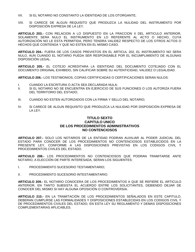- VII. SI EL NOTARIO NO CONSTANTO LA IDENTIDAD DE LOS OTORGANTE;
- VIII. SI CARECE DE ALGUN REQUISITO QUE PRODUZCA LA NULIDAD DEL INSTRUMENTO POR DISPOSICIÓN EXPRESA DE LA LEY.

**ARTICULO 203.-** CON RELACION A LO DISPUESTO EN LA FRACCION II DEL ARTICULO ANTERIOR, SOLAMENTE SERA NULO EL INSTRUMENTO EN LO REFERENTE AL ACTO O HECHO, CUYA AUTORIZACIÓN NO LE ESTA PERMITIDA, PERO TENDRA VALIDEZ RESPECTO DE LOS OTROS ACTOS O HECHOS QUE CONTENGA Y QUE NO ESTEN EN EL MISMO CASO.

**ARTICULO 204.-** FUERA DE LOS CASOS PREVISTOS EN EL ARTICUL 202, EL INSTRUMENTO NO SERA NULO, AUN CUANDO EL NOTARIO PUEDA SER RESPONSABLE POR EL INCUMPLIMIENTO DE ALGUNAS DISPOSICIÓN LEGAL.

**ARTICULO 205.-** EL COTEJO ACREDITARA LA IDENTIDAD DEL DOCUMENTO COTEJADO CON EL DOCUMENTO ORIGINAL EXHIBIDO, SIN CALIFICAR SOBRE SU AUTENTICIDAD, VALIDEZ O LEGALIDAD.

**ARTICULO 206.-** LOS TESTIMONIOS, COPIAS CERTIFICADAS O CERTIFICACIONES SERAN NULOS:

- I. CUANDO LA ESCRITURA O ACTA SEA DECLARADA NULA;
- II. SI EL NOTARIO NO SE ENCUENTRA EN EJERCICIO DE SUS FUNCIONES O LOS AUTORIZA FUERA DEL TERRITORIO DEL ESTADO;
- III. CUANDO NO ESTEN AUTORIZADOS CON LA FIRMA Y SELLO DEL NOTARIO;
- IV. SI CARECE DE ALGUN REQUISITO QUE PRODUZCA LA NULIDAD POR DISPOSICIÓN EXPRESA DE LA LEY.

# **TITULO SEXTO CAPITULO UNICO DE LOS PROCEDIMIENTOS ADMINISTRATIVOS NO CONTENCIOSOS**

**ARTICULO 207.-** SOLO LOS NOTARIOS DE LA ENTIDAD PODRAN AUXILIAR AL PODER JUDICIAL DEL ESTADO PARA CONOCER DE LOS PROCEDIMIENTOS NO CONTENCIOSOS ESTABLECIDOS EN LA PRESENTE LEY, CONFORME A LAS DISPOSICIONES PREVISTAS EN LOS CODIGOS CIVIL Y PROCEDIMIENTOS CIVILES DEL ESTADO.

**ARTICULO 208.-** LOS PROCEDIMIENTOS NO CONTENCIOSOS QUE PODRAN TRAMITARSE ANTE NOTARIO, A ELECCIÓN DE PARTE INTERESADA, SERAN LOS SIGUIENTES:

I. PROCEDIMIENTO SUCESORIO TESTAMENTARIO;

II. PROCEDIMIENTO SUCESORIO INTESTAMENTARIO.

**ARTICULO 209.-** EL NOTARIO CONOCERA DE LOS PROCEDIMIENTOS A QUE SE REFIERE EL ARTICULO ANTERIOR, EN TANTO SUBSISTA EL ACUERDO ENTRE LOS SOLICITANTES, DEBIENDO DEJAR DE CONOCER DEL MISMO SI HAY ALGUNA OPOSICIÓN O CONTROVERSIA.

**ARTICULO 210.-** EN LA TRAMITACIÓN DE LOS PROCEDIMIENTOS SEÑALADOS EN ESTE CAPITULO, DEBERAN CUMPLIRSE LAS FORMALIDADES Y DISPOSICIONES ESTABLECIDAS EN LOS CODIGOS CIVIL Y DE PROCEDIMIENTOS CIVILES DEL ESTADO, EN ESTA LEY SU REGLAMENTO Y DEMAS DISPOSICIONES COMPLEMENTARIAS APLICABLES.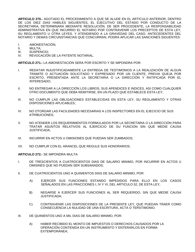**ARTICULO 270.-** AGOTADO EL PROCEDIMIENTO A QUE SE ALUDE EN EL ARTICULO ANTERIOR, DENTRO DE LOS DIEZ DIAS HABILES SIGUIENTES, EL EJECUTIVO DEL ESTADO POR CONDUCTO DE LA SECRETARIA, DETERMINARA MEDIANTE RESOLUCIÓN, DE SER PROCEDENTE, LA RESPONSABILIDAD ADMINISTRATIVA EN QUE INCURRIO EL NOTARIO POR CONTRAVENIR LOS PRECEPTOS DE ESTA LEY, SU REGLAMENTO U OTRA LEYES, Y ATENDIENDO A LA GRAVEDAD DEL CASO, ANTECEDENTES DEL NOTARIO Y DEMAS CIRCUNSTANCIAS QUE CONCURRAN, PODRA APLICAR LAS SANCIONES SIGUENTES:

- I. AMONESTACIÓN;
- II. MULTA;
- III. SUSPENCIO;
- IV. REVOCACIÓN DE LA PATENTE NOTARIAL.

**ARTICULO 271.-** LA AMONESTACIÓN SERA POR ESCRITO Y SE IMPONDRA POR:

- I. REDATAR INJUSTIFICADAMENTE LA ENTREGA DE TESTIMONIOS A LA REALIZACIÓN DE ALGUN TRAMITE O ACTUACIÓN SOLICITADO Y EXPRESADO POR UN CLIENTE, PREVIA QUEJA POR ESCRITO, PRESENTADA ANTE LA SECRETARIA O LA DIRECCIÓN Y RATIFICADA POR EL INTERESADO;
- II. NO ENTREGAR A LA DIRECCIÓN LOS LIBROS, SUS APENDICES E INDICES, ASI COMO CUALQUIER OTRO DOCUMENTO QUE DEBA REMITIRSE, EN UN PLAZO QUE ESTABLECE ESTA LEY;
- III. NO CUMPLIR LAS OBLIGACIONES ESTABLECIDAS EN ESTA LEY, SU REGLAMENTO Y OTRAS DISPOSICIONES APLICABLES;
- IV. NO OTORGAR LAS FACILIDADES NECESARIAS A LOS INSPECTORES EN EL EJECICIO DE SUS ATRIBUCIONES;
- V. NO ATENDER LOS REQUERIMIENTOS FORMULADOS POR LA SECRETARIA O LA DIRECCIÓN PARA TRATAR ASUNTOS RELATIVOS AL EJERCICIO DE SU FUNCION SIN QUE MEDIE CAUSA JUSTIFICADA;
- VI. INCURRIR EN ACTOS U OMISIONES QUE PUEDAN SER ZUMBADOS;
- VII. NO CUMPLIR CON EL ARANCEL QUE REGULE SUS HONORARIOS.

**ARTICULO 272.-** SE IMPONDRA MULTA:

- I. DE TRESCIENTOS A CUATROCIENTOS DIAS DE SALARIO MINIMO, POR INCURRIR EN ACTOS U OMISINES QUE NO PUEDAN SER SUBSANADOS;
- II. DE CUATROCIENTOS UNO A QUINIENTOS DIAS DE SALARIO MINIMO, POR:
	- A) EJERCER SUS FUNCIONES ESTANDO IMPEDIDOS PARA ELLO EN LOS CASOS SEÑALADOS EN LAS FRACCIONES I, IV Y VI, DEL ARTICULO 52, DE ESTA LEY;
	- B) NEGARSE A EJERCER SUS FUNCIONES AL SER REQUERIDO, SIN QUE MEDIE CAUSA JUSTIFICADA;
	- C) CONTRAVENIR LAS DISPOSICIONES DE LA PRESENTE LEY, QUE PUEDAN TRAER COMO CONSECUENCIA LA NULIDAD DE UNA ESCRITURA, ACTA O TERSTIMONIO.
- III. DE QUINIENTOS UNO A MIL DIAS DE SALARIO MINIMO, POR:
	- A) HABER RECIBIDO EL MONTO DE IMPUESTOS O DERECHOS CAUSADOS POR LA OPERACIÓN CONTENIDA EN UN INSTRUMENTO Y ENTERARLOS EN FORMA EXTEMPORÁNEA;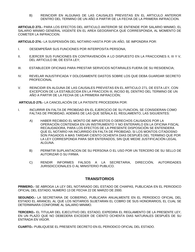B) REINCIDIR EN ALGUNAS DE LAS CAUSALES PREVISTAS EN EL ARTICULO ANTERIOR DENTRO DEL TERMINO DE UN AÑO A PARTIR DE LA FECHA DE LA PRIMERA INFRACCION.

**ARTICULO 273.-** PARA LOS EFECTOS DEL ARTICULO ANTERIOR SE ENTIENDE POR SALARIO MINIMO, EL SALARIO MINIMO GENERAL VIGENTE EN EL AREA GEOGRAFICA QUE CORRESPONDA, AL MOMENTO DE COMETER LA INFRACCION.

**ARTICULO 274.-** LA SUSPENSIÓN DEL NOTARIO HASTA POR UN AÑO, SE IMPONDRA POR:

- I. DESEMPEÑAR SUS FUNCIONES POR INTERPOSITA PERSONA;
- II. EJERCER SUS FUNCIONES EN CONTRAVENCIÓN A LO DISPUESTO EN LA FRACCIONES II, III Y V, DEL ARTICULO 88, DE ESTA LEY;
- III. ESTABLECER OFICINAS PARA PRESTAR SERVICIOS NOTARIALES FUERA DE SU RESIDENCIA;
- IV. REVELAR INJUSTIFICADA Y DOLOSAMENTE DASTOS SOBRE LOS QUE DEBA GUARDAR SECRETO PROFECIONAL
- V. REINCIDIR EN ALGUNA DE LAS CAUSALES PREVISTAS EN EL ARTICULO 271, DE ESTA LEY, CON EXCEPCION DE LA ESTABLECIDA EN LA FRACCION III, INCISO B), DENTRO DEL TERMINO DE UN AÑO A PARTIR DE LA FECHA DE LA PRIMERA INFRACCIÓN;

**ARTICULO 275.-** LA CANCELACIÓN DE LA PATENTE PROCEDERA POR:

- I. INCURRIR EN FALTA DE PROBIDAD EN EL EJERCICIO DE SU FUNCION, SE CONSIDERAN COMO FALTAS DE PROBIDAD, ADEMÁS DE LAS QUE SEÑALA EL REGLAMENTO, LAS SIGUIENTES:
	- A) HABER RECIBIDO EL MONTO DE IMPUESTOS O DERECHOS CAUSADOS POR LA OPERACIÓN CONTENIDA EN UN INSTRUMENTO Y NO ENTERARLO EN LA OFICINA FISCAL RECAUDADORA, PARA LOS EFECTOS DE LA PRESENTE DISPOSICIÓN SE ENTENDERA QUE EL NOTARIO HA INCURRIDO EN FALTA DE PROBIDAD, SI LOS MONTOS CITADOSNO SON PAGADOS A MAS TARDAR CIENTO OCHENTA DIAS DESPUÉS DEL TERMINO QUE POR LA LEY CORRESPONDA PARA SER ENTERADOS, SIN QUE MEDIE JUSTIFICACIÓN LEGAL ALGUNA.
	- B) PERMITIR SUPLANTACION DE SU PERSONA O EL USO POR UN TERCERO DE SU SELLO DE AUTORIZAR O SU FIRMA.
	- C) RENDIR INFORMES FALSOS A LA SECRETARIA, DIRECCIÓN, AUTORIDADES JURISDICCIONALES O AL MINISTERIO PUBLICO.

# **TRANSITORIOS**

**PRIMERO.-** SE ABROGA LA LEY DEL NOTARIADO DEL ESTADO DE CHIAPAS, PUBLICADA EN EL PERIODICO OFICIAL DEL ESTADO, NUMERO 13 DE FECHA 22 DE MARZO DE 2000.

**SEGUNDO.-** LA SECRETARIA DE GOBIERNO, PUBLICARA ANUALMENTE EN EL PERIODICO OFICIAL DEL ESTADO EL ARANCEL AL QUE LOS NOTARIOS SUJETARAN EL COBRO DE SUS HONORARIOS, EL CUAL SE DETERMINARA CONFORME AL SALARIO MINIMO.

**TERCERO.-** EL TITULAR DEL EJECUTIVO DEL ESTADO, EXPEDIRA EL REGLAMENTO DE LA PRESENTE LEY, EN UN PLAZO QUE NO DEBEDERA EXCEDER DE CIENTO OCHENTA DIAS NATURALES DESPUÉS DE SU ENTRADA EN VIGOR.

**CUARTO.-** PUBLIQUESE EL PRESENTE DECRETO EN EL PERIODICO OFICIAL DEL ESTADO.